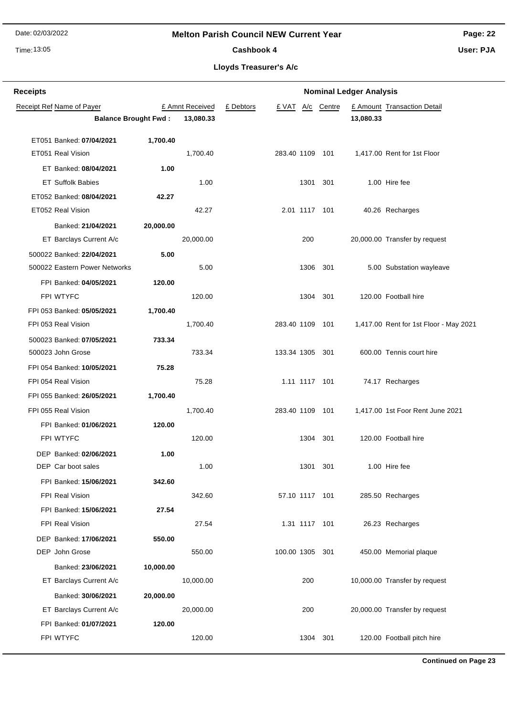# **Melton Parish Council NEW Current Year**

Time: 13:05

# **Page: 22**

Cashbook 4

**User: PJA**

| <b>Receipts</b> | <b>Nominal Ledger Analysis</b> |           |                 |           |                 |            |           |                                        |
|-----------------|--------------------------------|-----------|-----------------|-----------|-----------------|------------|-----------|----------------------------------------|
|                 | Receipt Ref Name of Payer      |           | £ Amnt Received | £ Debtors | £ VAT           | A/c Centre |           | £ Amount Transaction Detail            |
|                 | <b>Balance Brought Fwd:</b>    |           | 13,080.33       |           |                 |            | 13,080.33 |                                        |
|                 | ET051 Banked: 07/04/2021       | 1,700.40  |                 |           |                 |            |           |                                        |
|                 | ET051 Real Vision              |           | 1,700.40        |           | 283.40 1109 101 |            |           | 1,417.00 Rent for 1st Floor            |
|                 | ET Banked: 08/04/2021          | 1.00      |                 |           |                 |            |           |                                        |
|                 | <b>ET Suffolk Babies</b>       |           | 1.00            |           |                 | 1301 301   |           | 1.00 Hire fee                          |
|                 | ET052 Banked: 08/04/2021       | 42.27     |                 |           |                 |            |           |                                        |
|                 | ET052 Real Vision              |           | 42.27           |           | 2.01 1117 101   |            |           | 40.26 Recharges                        |
|                 | Banked: 21/04/2021             | 20,000.00 |                 |           |                 |            |           |                                        |
|                 | ET Barclays Current A/c        |           | 20,000.00       |           | 200             |            |           | 20,000.00 Transfer by request          |
|                 | 500022 Banked: 22/04/2021      | 5.00      |                 |           |                 |            |           |                                        |
|                 | 500022 Eastern Power Networks  |           | 5.00            |           |                 | 1306 301   |           | 5.00 Substation wayleave               |
|                 | FPI Banked: 04/05/2021         | 120.00    |                 |           |                 |            |           |                                        |
|                 | FPI WTYFC                      |           | 120.00          |           |                 | 1304 301   |           | 120.00 Football hire                   |
|                 | FPI 053 Banked: 05/05/2021     | 1,700.40  |                 |           |                 |            |           |                                        |
|                 | FPI 053 Real Vision            |           | 1,700.40        |           | 283.40 1109 101 |            |           | 1,417.00 Rent for 1st Floor - May 2021 |
|                 | 500023 Banked: 07/05/2021      | 733.34    |                 |           |                 |            |           |                                        |
|                 | 500023 John Grose              |           | 733.34          |           | 133.34 1305 301 |            |           | 600.00 Tennis court hire               |
|                 | FPI 054 Banked: 10/05/2021     | 75.28     |                 |           |                 |            |           |                                        |
|                 | FPI 054 Real Vision            |           | 75.28           |           | 1.11 1117 101   |            |           | 74.17 Recharges                        |
|                 | FPI 055 Banked: 26/05/2021     | 1,700.40  |                 |           |                 |            |           |                                        |
|                 | FPI 055 Real Vision            |           | 1,700.40        |           | 283.40 1109 101 |            |           | 1,417.00 1st Foor Rent June 2021       |
|                 | FPI Banked: 01/06/2021         | 120.00    |                 |           |                 |            |           |                                        |
|                 | FPI WTYFC                      |           | 120.00          |           |                 | 1304 301   |           | 120.00 Football hire                   |
|                 | DEP Banked: 02/06/2021         | 1.00      |                 |           |                 |            |           |                                        |
|                 | DEP Car boot sales             |           | 1.00            |           |                 | 1301 301   |           | 1.00 Hire fee                          |
|                 | FPI Banked: 15/06/2021         | 342.60    |                 |           |                 |            |           |                                        |
|                 | FPI Real Vision                |           | 342.60          |           | 57.10 1117 101  |            |           | 285.50 Recharges                       |
|                 | FPI Banked: 15/06/2021         | 27.54     |                 |           |                 |            |           |                                        |
|                 | FPI Real Vision                |           | 27.54           |           | 1.31 1117 101   |            |           | 26.23 Recharges                        |
|                 | DEP Banked: 17/06/2021         | 550.00    |                 |           |                 |            |           |                                        |
|                 | DEP John Grose                 |           | 550.00          |           | 100.00 1305 301 |            |           | 450.00 Memorial plaque                 |
|                 | Banked: 23/06/2021             | 10,000.00 |                 |           |                 |            |           |                                        |
|                 | ET Barclays Current A/c        |           | 10,000.00       |           | 200             |            |           | 10,000.00 Transfer by request          |
|                 | Banked: 30/06/2021             | 20,000.00 |                 |           |                 |            |           |                                        |
|                 | ET Barclays Current A/c        |           | 20,000.00       |           | 200             |            |           | 20,000.00 Transfer by request          |
|                 | FPI Banked: 01/07/2021         | 120.00    |                 |           |                 |            |           |                                        |
|                 | FPI WTYFC                      |           | 120.00          |           |                 | 1304 301   |           | 120.00 Football pitch hire             |
|                 |                                |           |                 |           |                 |            |           |                                        |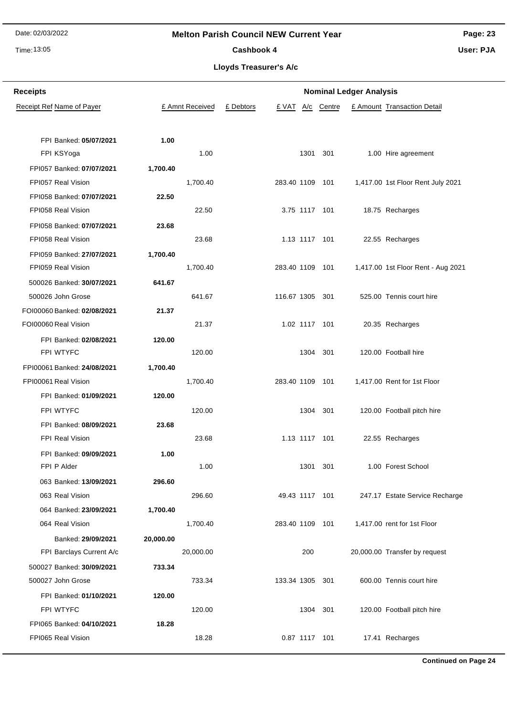# Time: 13:05

# **Melton Parish Council NEW Current Year**

**Page: 23 User: PJA**

# Cashbook 4

**Lloyds Treasurer's A/c**

| <b>Receipts</b>                      |           | <b>Nominal Ledger Analysis</b> |           |                 |               |            |  |                                    |  |
|--------------------------------------|-----------|--------------------------------|-----------|-----------------|---------------|------------|--|------------------------------------|--|
| Receipt Ref Name of Payer            |           | £ Amnt Received                | £ Debtors | £ VAT           |               | A/c Centre |  | £ Amount Transaction Detail        |  |
| FPI Banked: 05/07/2021<br>FPI KSYoga | 1.00      | 1.00                           |           |                 | 1301          | 301        |  | 1.00 Hire agreement                |  |
| FPI057 Banked: 07/07/2021            | 1,700.40  |                                |           |                 |               |            |  |                                    |  |
| FPI057 Real Vision                   |           | 1,700.40                       |           | 283.40 1109 101 |               |            |  | 1,417.00 1st Floor Rent July 2021  |  |
| FPI058 Banked: 07/07/2021            | 22.50     |                                |           |                 |               |            |  |                                    |  |
| FPI058 Real Vision                   |           | 22.50                          |           |                 | 3.75 1117 101 |            |  | 18.75 Recharges                    |  |
| FPI058 Banked: 07/07/2021            | 23.68     |                                |           |                 |               |            |  |                                    |  |
| FPI058 Real Vision                   |           | 23.68                          |           |                 | 1.13 1117 101 |            |  | 22.55 Recharges                    |  |
| FPI059 Banked: 27/07/2021            | 1,700.40  |                                |           |                 |               |            |  |                                    |  |
| FPI059 Real Vision                   |           | 1,700.40                       |           | 283.40 1109 101 |               |            |  | 1,417.00 1st Floor Rent - Aug 2021 |  |
| 500026 Banked: 30/07/2021            | 641.67    |                                |           |                 |               |            |  |                                    |  |
| 500026 John Grose                    |           | 641.67                         |           | 116.67 1305 301 |               |            |  | 525.00 Tennis court hire           |  |
| FOI00060 Banked: 02/08/2021          | 21.37     |                                |           |                 |               |            |  |                                    |  |
| FOI00060 Real Vision                 |           | 21.37                          |           |                 | 1.02 1117 101 |            |  | 20.35 Recharges                    |  |
| FPI Banked: 02/08/2021               | 120.00    |                                |           |                 |               |            |  |                                    |  |
| FPI WTYFC                            |           | 120.00                         |           |                 | 1304 301      |            |  | 120.00 Football hire               |  |
| FPI00061 Banked: 24/08/2021          | 1,700.40  |                                |           |                 |               |            |  |                                    |  |
| FPI00061 Real Vision                 |           | 1,700.40                       |           | 283.40 1109 101 |               |            |  | 1,417.00 Rent for 1st Floor        |  |
| FPI Banked: 01/09/2021               | 120.00    |                                |           |                 |               |            |  |                                    |  |
| FPI WTYFC                            |           | 120.00                         |           |                 |               | 1304 301   |  | 120.00 Football pitch hire         |  |
| FPI Banked: 08/09/2021               | 23.68     |                                |           |                 |               |            |  |                                    |  |
| FPI Real Vision                      |           | 23.68                          |           |                 | 1.13 1117 101 |            |  | 22.55 Recharges                    |  |
| FPI Banked: 09/09/2021               | 1.00      |                                |           |                 |               |            |  |                                    |  |
| FPI P Alder                          |           | 1.00                           |           |                 |               | 1301 301   |  | 1.00 Forest School                 |  |
| 063 Banked: 13/09/2021               | 296.60    |                                |           |                 |               |            |  |                                    |  |
| 063 Real Vision                      |           | 296.60                         |           | 49.43 1117 101  |               |            |  | 247.17 Estate Service Recharge     |  |
| 064 Banked: 23/09/2021               | 1,700.40  |                                |           |                 |               |            |  |                                    |  |
| 064 Real Vision                      |           | 1,700.40                       |           | 283.40 1109 101 |               |            |  | 1,417.00 rent for 1st Floor        |  |
| Banked: 29/09/2021                   | 20,000.00 |                                |           |                 |               |            |  |                                    |  |
| FPI Barclays Current A/c             |           | 20,000.00                      |           |                 | 200           |            |  | 20,000.00 Transfer by request      |  |
| 500027 Banked: 30/09/2021            | 733.34    |                                |           |                 |               |            |  |                                    |  |
| 500027 John Grose                    |           | 733.34                         |           | 133.34 1305 301 |               |            |  | 600.00 Tennis court hire           |  |
| FPI Banked: 01/10/2021               | 120.00    |                                |           |                 |               |            |  |                                    |  |
| FPI WTYFC                            |           | 120.00                         |           |                 |               | 1304 301   |  | 120.00 Football pitch hire         |  |
| FPI065 Banked: 04/10/2021            | 18.28     |                                |           |                 |               |            |  |                                    |  |
| FPI065 Real Vision                   |           | 18.28                          |           |                 | 0.87 1117 101 |            |  | 17.41 Recharges                    |  |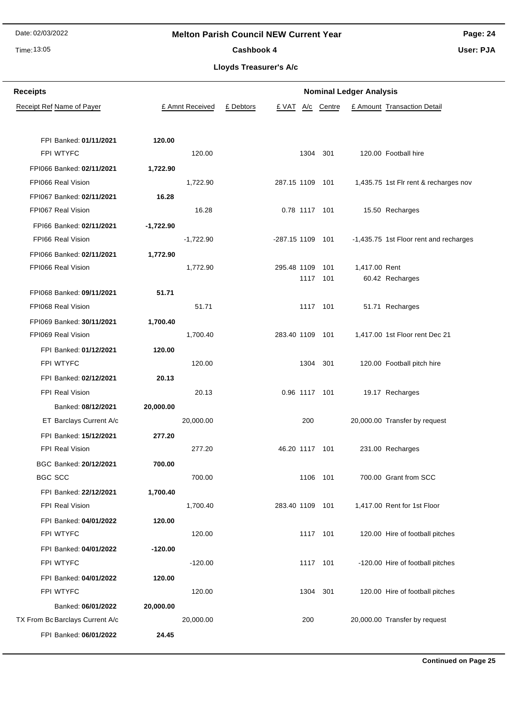# Time: 13:05

# **Melton Parish Council NEW Current Year**

**Page: 24**

Cashbook 4

**Lloyds Treasurer's A/c**

| <b>Receipts</b>                  |             |                 |           |                  |     |                 | <b>Nominal Ledger Analysis</b> |                                        |
|----------------------------------|-------------|-----------------|-----------|------------------|-----|-----------------|--------------------------------|----------------------------------------|
| <b>Receipt Ref Name of Payer</b> |             | £ Amnt Received | £ Debtors | £ VAT            | A/c | Centre          |                                | £ Amount Transaction Detail            |
|                                  |             |                 |           |                  |     |                 |                                |                                        |
| FPI Banked: 01/11/2021           | 120.00      |                 |           |                  |     |                 |                                |                                        |
| FPI WTYFC                        |             | 120.00          |           |                  |     | 1304 301        |                                | 120.00 Football hire                   |
| FPI066 Banked: 02/11/2021        | 1,722.90    |                 |           |                  |     |                 |                                |                                        |
| FPI066 Real Vision               |             | 1,722.90        |           | 287.15 1109 101  |     |                 |                                | 1,435.75 1st Flr rent & recharges nov  |
| FPI067 Banked: 02/11/2021        | 16.28       |                 |           |                  |     |                 |                                |                                        |
| FPI067 Real Vision               |             | 16.28           |           |                  |     | 0.78 1117 101   |                                | 15.50 Recharges                        |
| FPI66 Banked: 02/11/2021         | $-1,722.90$ |                 |           |                  |     |                 |                                |                                        |
| FPI66 Real Vision                |             | $-1,722.90$     |           | -287.15 1109 101 |     |                 |                                | -1,435.75 1st Floor rent and recharges |
| FPI066 Banked: 02/11/2021        | 1,772.90    |                 |           |                  |     |                 |                                |                                        |
| FPI066 Real Vision               |             | 1,772.90        |           | 295.48 1109      |     | 101<br>1117 101 | 1,417.00 Rent                  |                                        |
| FPI068 Banked: 09/11/2021        | 51.71       |                 |           |                  |     |                 |                                | 60.42 Recharges                        |
| FPI068 Real Vision               |             | 51.71           |           |                  |     | 1117 101        |                                | 51.71 Recharges                        |
| FPI069 Banked: 30/11/2021        | 1,700.40    |                 |           |                  |     |                 |                                |                                        |
| FPI069 Real Vision               |             | 1,700.40        |           | 283.40 1109 101  |     |                 |                                | 1,417.00 1st Floor rent Dec 21         |
| FPI Banked: 01/12/2021           | 120.00      |                 |           |                  |     |                 |                                |                                        |
| FPI WTYFC                        |             | 120.00          |           |                  |     | 1304 301        |                                | 120.00 Football pitch hire             |
| FPI Banked: 02/12/2021           | 20.13       |                 |           |                  |     |                 |                                |                                        |
| <b>FPI Real Vision</b>           |             | 20.13           |           |                  |     | 0.96 1117 101   |                                | 19.17 Recharges                        |
| Banked: 08/12/2021               | 20,000.00   |                 |           |                  |     |                 |                                |                                        |
| ET Barclays Current A/c          |             | 20,000.00       |           |                  | 200 |                 |                                | 20,000.00 Transfer by request          |
| FPI Banked: 15/12/2021           | 277.20      |                 |           |                  |     |                 |                                |                                        |
| <b>FPI Real Vision</b>           |             | 277.20          |           | 46.20 1117 101   |     |                 |                                | 231.00 Recharges                       |
| BGC Banked: 20/12/2021           | 700.00      |                 |           |                  |     |                 |                                |                                        |
| <b>BGC SCC</b>                   |             | 700.00          |           |                  |     | 1106 101        |                                | 700.00 Grant from SCC                  |
| FPI Banked: 22/12/2021           | 1,700.40    |                 |           |                  |     |                 |                                |                                        |
| FPI Real Vision                  |             | 1,700.40        |           | 283.40 1109 101  |     |                 |                                | 1,417.00 Rent for 1st Floor            |
| FPI Banked: 04/01/2022           | 120.00      |                 |           |                  |     |                 |                                |                                        |
| FPI WTYFC                        |             | 120.00          |           |                  |     | 1117 101        |                                | 120.00 Hire of football pitches        |
| FPI Banked: 04/01/2022           | $-120.00$   |                 |           |                  |     |                 |                                |                                        |
| FPI WTYFC                        |             | $-120.00$       |           |                  |     | 1117 101        |                                | -120.00 Hire of football pitches       |
| FPI Banked: 04/01/2022           | 120.00      |                 |           |                  |     |                 |                                |                                        |
| FPI WTYFC                        |             | 120.00          |           |                  |     | 1304 301        |                                | 120.00 Hire of football pitches        |
| Banked: 06/01/2022               | 20,000.00   |                 |           |                  |     |                 |                                |                                        |
| TX From Bc Barclays Current A/c  |             | 20,000.00       |           |                  | 200 |                 |                                | 20,000.00 Transfer by request          |
| FPI Banked: 06/01/2022           | 24.45       |                 |           |                  |     |                 |                                |                                        |
|                                  |             |                 |           |                  |     |                 |                                |                                        |

# **User: PJA**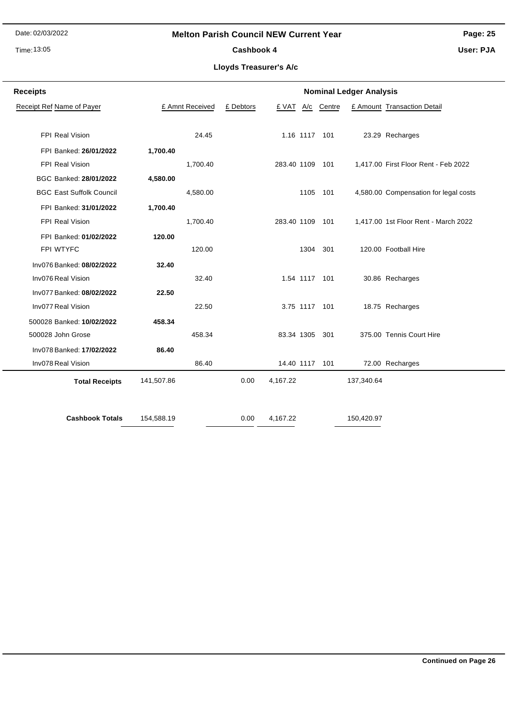# Time: 13:05

# **Melton Parish Council NEW Current Year**

**Page: 25**

Cashbook 4

**User: PJA**

| <b>Receipts</b><br><b>Nominal Ledger Analysis</b> |            |                 |           |                 |     |               |            |                                       |
|---------------------------------------------------|------------|-----------------|-----------|-----------------|-----|---------------|------------|---------------------------------------|
| Receipt Ref Name of Payer                         |            | £ Amnt Received | £ Debtors | £ VAT           | A/c | Centre        |            | £ Amount Transaction Detail           |
|                                                   |            |                 |           |                 |     |               |            |                                       |
| FPI Real Vision                                   |            | 24.45           |           |                 |     | 1.16 1117 101 |            | 23.29 Recharges                       |
| FPI Banked: 26/01/2022                            | 1,700.40   |                 |           |                 |     |               |            |                                       |
| FPI Real Vision                                   |            | 1,700.40        |           | 283.40 1109 101 |     |               |            | 1,417.00 First Floor Rent - Feb 2022  |
| BGC Banked: 28/01/2022                            | 4,580.00   |                 |           |                 |     |               |            |                                       |
| <b>BGC East Suffolk Council</b>                   |            | 4,580.00        |           |                 |     | 1105 101      |            | 4,580.00 Compensation for legal costs |
| FPI Banked: 31/01/2022                            | 1,700.40   |                 |           |                 |     |               |            |                                       |
| FPI Real Vision                                   |            | 1,700.40        |           | 283.40 1109 101 |     |               |            | 1,417.00 1st Floor Rent - March 2022  |
| FPI Banked: 01/02/2022                            | 120.00     |                 |           |                 |     |               |            |                                       |
| FPI WTYFC                                         |            | 120.00          |           |                 |     | 1304 301      |            | 120.00 Football Hire                  |
| Inv076 Banked: 08/02/2022                         | 32.40      |                 |           |                 |     |               |            |                                       |
| Inv076 Real Vision                                |            | 32.40           |           |                 |     | 1.54 1117 101 |            | 30.86 Recharges                       |
| Inv077 Banked: 08/02/2022                         | 22.50      |                 |           |                 |     |               |            |                                       |
| Inv077 Real Vision                                |            | 22.50           |           |                 |     | 3.75 1117 101 |            | 18.75 Recharges                       |
| 500028 Banked: 10/02/2022                         | 458.34     |                 |           |                 |     |               |            |                                       |
| 500028 John Grose                                 |            | 458.34          |           | 83.34 1305 301  |     |               |            | 375.00 Tennis Court Hire              |
| Inv078 Banked: 17/02/2022                         | 86.40      |                 |           |                 |     |               |            |                                       |
| Inv078 Real Vision                                |            | 86.40           |           | 14.40 1117 101  |     |               |            | 72.00 Recharges                       |
| <b>Total Receipts</b>                             | 141,507.86 |                 | 0.00      | 4,167.22        |     |               | 137,340.64 |                                       |
|                                                   |            |                 |           |                 |     |               |            |                                       |
| <b>Cashbook Totals</b>                            | 154,588.19 |                 | 0.00      | 4,167.22        |     |               | 150,420.97 |                                       |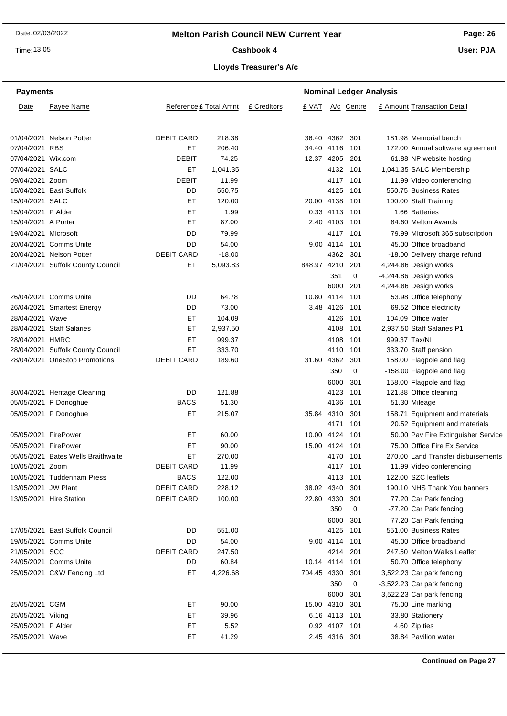**Page: 26**

Time: 13:05

# Cashbook 4

**User: PJA**

| <b>Payments</b>      |                                    |                        |                 |             |                |               | <b>Nominal Ledger Analysis</b> |                                                    |
|----------------------|------------------------------------|------------------------|-----------------|-------------|----------------|---------------|--------------------------------|----------------------------------------------------|
| Date                 | Payee Name                         | Reference £ Total Amnt |                 | £ Creditors | £ VAT          |               | A/c Centre                     | £ Amount Transaction Detail                        |
|                      | 01/04/2021 Nelson Potter           | <b>DEBIT CARD</b>      | 218.38          |             | 36.40 4362 301 |               |                                | 181.98 Memorial bench                              |
| 07/04/2021 RBS       |                                    | EТ                     | 206.40          |             | 34.40 4116 101 |               |                                | 172.00 Annual software agreement                   |
| 07/04/2021 Wix.com   |                                    | DEBIT                  | 74.25           |             | 12.37 4205 201 |               |                                | 61.88 NP website hosting                           |
| 07/04/2021 SALC      |                                    | ET                     | 1,041.35        |             |                | 4132          | 101                            | 1,041.35 SALC Membership                           |
| 09/04/2021 Zoom      |                                    | <b>DEBIT</b>           | 11.99           |             |                | 4117          | 101                            | 11.99 Video conferencing                           |
|                      | 15/04/2021 East Suffolk            | DD                     | 550.75          |             |                | 4125          | 101                            | 550.75 Business Rates                              |
| 15/04/2021 SALC      |                                    | EТ                     | 120.00          |             | 20.00 4138     |               | 101                            | 100.00 Staff Training                              |
| 15/04/2021 P Alder   |                                    | ET                     | 1.99            |             |                | 0.33 4113 101 |                                | 1.66 Batteries                                     |
| 15/04/2021 A Porter  |                                    | ET                     | 87.00           |             |                | 2.40 4103 101 |                                | 84.60 Melton Awards                                |
| 19/04/2021 Microsoft |                                    | DD                     | 79.99           |             |                | 4117 101      |                                | 79.99 Microsoft 365 subscription                   |
|                      | 20/04/2021 Comms Unite             | DD                     | 54.00           |             |                | 9.00 4114     | 101                            | 45.00 Office broadband                             |
|                      | 20/04/2021 Nelson Potter           | <b>DEBIT CARD</b>      | $-18.00$        |             |                | 4362          | 301                            | -18.00 Delivery charge refund                      |
|                      | 21/04/2021 Suffolk County Council  | ET                     | 5,093.83        |             | 848.97 4210    |               | 201                            | 4,244.86 Design works                              |
|                      |                                    |                        |                 |             |                | 351           | 0                              | -4,244.86 Design works                             |
|                      |                                    |                        |                 |             |                | 6000          | 201                            | 4,244.86 Design works                              |
|                      | 26/04/2021 Comms Unite             | DD                     | 64.78           |             | 10.80 4114     |               | 101                            | 53.98 Office telephony                             |
|                      | 26/04/2021 Smartest Energy         | DD                     | 73.00           |             |                | 3.48 4126     | 101                            | 69.52 Office electricity                           |
| 28/04/2021 Wave      |                                    | ET.                    | 104.09          |             |                | 4126          | 101                            | 104.09 Office water                                |
|                      | 28/04/2021 Staff Salaries          | EТ                     | 2,937.50        |             |                | 4108          | 101                            | 2.937.50 Staff Salaries P1                         |
| 28/04/2021 HMRC      |                                    | ET                     | 999.37          |             |                | 4108          | 101                            | 999.37 Tax/NI                                      |
|                      | 28/04/2021 Suffolk County Council  | EТ                     | 333.70          |             |                | 4110 101      |                                | 333.70 Staff pension                               |
|                      | 28/04/2021 OneStop Promotions      | <b>DEBIT CARD</b>      | 189.60          |             | 31.60 4362     |               | 301                            | 158.00 Flagpole and flag                           |
|                      |                                    |                        |                 |             |                | 350           | 0                              | -158.00 Flagpole and flag                          |
|                      |                                    |                        |                 |             |                |               |                                |                                                    |
|                      |                                    |                        |                 |             |                | 6000          | 301                            | 158.00 Flagpole and flag<br>121.88 Office cleaning |
|                      | 30/04/2021 Heritage Cleaning       | DD<br><b>BACS</b>      | 121.88<br>51.30 |             |                | 4123<br>4136  | 101<br>101                     |                                                    |
|                      | 05/05/2021 P Donoghue              |                        | 215.07          |             |                |               |                                | 51.30 Mileage                                      |
|                      | 05/05/2021 P Donoghue              | EТ                     |                 |             | 35.84 4310     |               | 301                            | 158.71 Equipment and materials                     |
|                      |                                    |                        |                 |             |                | 4171          | 101                            | 20.52 Equipment and materials                      |
| 05/05/2021 FirePower |                                    | EТ                     | 60.00           |             | 10.00 4124     |               | 101                            | 50.00 Pav Fire Extinguisher Service                |
| 05/05/2021 FirePower |                                    | ET                     | 90.00           |             | 15.00 4124 101 |               |                                | 75.00 Office Fire Ex Service                       |
|                      | 05/05/2021 Bates Wells Braithwaite | EТ                     | 270.00          |             |                | 4170 101      |                                | 270.00 Land Transfer disbursements                 |
| 10/05/2021 Zoom      |                                    | <b>DEBIT CARD</b>      | 11.99           |             |                | 4117 101      |                                | 11.99 Video conferencing                           |
|                      | 10/05/2021 Tuddenham Press         | <b>BACS</b>            | 122.00          |             |                | 4113 101      |                                | 122.00 SZC leaflets                                |
| 13/05/2021 JW Plant  |                                    | <b>DEBIT CARD</b>      | 228.12          |             | 38.02 4340 301 |               |                                | 190.10 NHS Thank You banners                       |
|                      | 13/05/2021 Hire Station            | <b>DEBIT CARD</b>      | 100.00          |             | 22.80 4330     |               | 301                            | 77.20 Car Park fencing                             |
|                      |                                    |                        |                 |             |                | 350           | 0                              | -77.20 Car Park fencing                            |
|                      |                                    |                        |                 |             |                | 6000          | 301                            | 77.20 Car Park fencing                             |
|                      | 17/05/2021 East Suffolk Council    | DD                     | 551.00          |             |                | 4125 101      |                                | 551.00 Business Rates                              |
|                      | 19/05/2021 Comms Unite             | DD                     | 54.00           |             |                | 9.00 4114 101 |                                | 45.00 Office broadband                             |
| 21/05/2021 SCC       |                                    | <b>DEBIT CARD</b>      | 247.50          |             |                | 4214 201      |                                | 247.50 Melton Walks Leaflet                        |
|                      | 24/05/2021 Comms Unite             | DD                     | 60.84           |             | 10.14 4114 101 |               |                                | 50.70 Office telephony                             |
|                      | 25/05/2021 C&W Fencing Ltd         | ET                     | 4,226.68        |             | 704.45 4330    |               | 301                            | 3,522.23 Car park fencing                          |
|                      |                                    |                        |                 |             |                | 350           | 0                              | -3,522.23 Car park fencing                         |
|                      |                                    |                        |                 |             |                | 6000          | 301                            | 3,522.23 Car park fencing                          |
| 25/05/2021 CGM       |                                    | ET                     | 90.00           |             | 15.00 4310 301 |               |                                | 75.00 Line marking                                 |
| 25/05/2021 Viking    |                                    | EТ                     | 39.96           |             |                | 6.16 4113 101 |                                | 33.80 Stationery                                   |
| 25/05/2021 P Alder   |                                    | ET                     | 5.52            |             |                | 0.92 4107 101 |                                | 4.60 Zip ties                                      |
| 25/05/2021 Wave      |                                    | ET                     | 41.29           |             |                | 2.45 4316 301 |                                | 38.84 Pavilion water                               |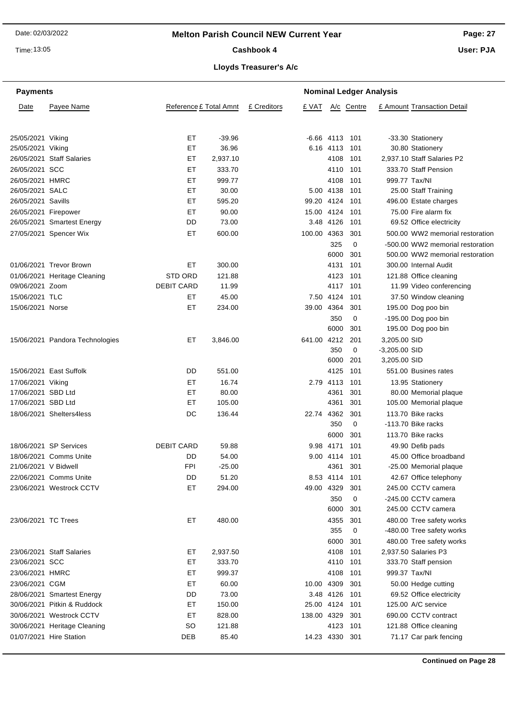Time: 13:05

# Cashbook 4

**Page: 27 User: PJA**

**Lloyds Treasurer's A/c**

| <b>Payments</b>      |                                 |                        | <b>Nominal Ledger Analysis</b> |             |                |                  |             |                 |                                  |  |
|----------------------|---------------------------------|------------------------|--------------------------------|-------------|----------------|------------------|-------------|-----------------|----------------------------------|--|
| Date                 | Payee Name                      | Reference £ Total Amnt |                                | £ Creditors | £ VAT          |                  | A/c Centre  |                 | £ Amount Transaction Detail      |  |
|                      |                                 |                        |                                |             |                |                  |             |                 |                                  |  |
| 25/05/2021 Viking    |                                 | EТ                     | -39.96                         |             |                | $-6.66$ 4113 101 |             |                 | -33.30 Stationery                |  |
| 25/05/2021 Viking    |                                 | ЕT                     | 36.96                          |             |                | 6.16 4113 101    |             |                 | 30.80 Stationery                 |  |
|                      | 26/05/2021 Staff Salaries       | ЕT                     | 2,937.10                       |             |                | 4108             | 101         |                 | 2,937.10 Staff Salaries P2       |  |
| 26/05/2021 SCC       |                                 | ET                     | 333.70                         |             |                | 4110             | 101         |                 | 333.70 Staff Pension             |  |
| 26/05/2021 HMRC      |                                 | ET                     | 999.77                         |             |                | 4108             | 101         |                 | 999.77 Tax/NI                    |  |
| 26/05/2021 SALC      |                                 | ET                     | 30.00                          |             |                | 5.00 4138        | 101         |                 | 25.00 Staff Training             |  |
| 26/05/2021 Savills   |                                 | EТ                     | 595.20                         |             | 99.20 4124     |                  | 101         |                 | 496.00 Estate charges            |  |
| 26/05/2021 Firepower |                                 | EТ                     | 90.00                          |             | 15.00 4124     |                  | 101         |                 | 75.00 Fire alarm fix             |  |
|                      | 26/05/2021 Smartest Energy      | DD                     | 73.00                          |             |                | 3.48 4126        | 101         |                 | 69.52 Office electricity         |  |
|                      | 27/05/2021 Spencer Wix          | ET                     | 600.00                         |             | 100.00 4363    |                  | 301         |                 | 500.00 WW2 memorial restoration  |  |
|                      |                                 |                        |                                |             |                | 325              | $\mathbf 0$ |                 | -500.00 WW2 memorial restoration |  |
|                      |                                 |                        |                                |             |                | 6000             | 301         |                 | 500.00 WW2 memorial restoration  |  |
|                      | 01/06/2021 Trevor Brown         | EТ                     | 300.00                         |             |                | 4131             | 101         |                 | 300.00 Internal Audit            |  |
|                      | 01/06/2021 Heritage Cleaning    | <b>STD ORD</b>         | 121.88                         |             |                | 4123             | 101         |                 | 121.88 Office cleaning           |  |
| 09/06/2021 Zoom      |                                 | <b>DEBIT CARD</b>      | 11.99                          |             |                | 4117 101         |             |                 | 11.99 Video conferencing         |  |
| 15/06/2021 TLC       |                                 | EТ                     | 45.00                          |             |                | 7.50 4124        | 101         |                 | 37.50 Window cleaning            |  |
| 15/06/2021 Norse     |                                 | EТ                     | 234.00                         |             | 39.00 4364     |                  | 301         |                 | 195.00 Dog poo bin               |  |
|                      |                                 |                        |                                |             |                | 350              | 0           |                 | -195.00 Dog poo bin              |  |
|                      |                                 |                        |                                |             |                | 6000             | 301         |                 | 195.00 Dog poo bin               |  |
|                      | 15/06/2021 Pandora Technologies | EТ                     | 3,846.00                       |             | 641.00 4212    |                  | 201         | 3,205.00 SID    |                                  |  |
|                      |                                 |                        |                                |             |                | 350              | 0           | $-3,205.00$ SID |                                  |  |
|                      |                                 |                        |                                |             |                | 6000             | 201         | 3,205.00 SID    |                                  |  |
|                      | 15/06/2021 East Suffolk         | DD                     | 551.00                         |             |                | 4125             | 101         |                 | 551.00 Busines rates             |  |
| 17/06/2021 Viking    |                                 | ЕT                     | 16.74                          |             |                | 2.79 4113 101    |             |                 | 13.95 Stationery                 |  |
| 17/06/2021 SBD Ltd   |                                 | ET                     | 80.00                          |             |                | 4361             | 301         |                 | 80.00 Memorial plaque            |  |
| 17/06/2021 SBD Ltd   |                                 | ЕT                     | 105.00                         |             |                | 4361             | 301         |                 | 105.00 Memorial plaque           |  |
|                      | 18/06/2021 Shelters4less        | DC                     | 136.44                         |             | 22.74 4362     |                  | 301         |                 | 113.70 Bike racks                |  |
|                      |                                 |                        |                                |             |                | 350              | $\mathbf 0$ |                 | -113.70 Bike racks               |  |
|                      |                                 |                        |                                |             |                | 6000             | 301         |                 | 113.70 Bike racks                |  |
|                      | 18/06/2021 SP Services          | <b>DEBIT CARD</b>      | 59.88                          |             |                | 9.98 4171        | 101         |                 | 49.90 Defib pads                 |  |
|                      | 18/06/2021 Comms Unite          | DD                     | 54.00                          |             |                | 9.00 4114 101    |             |                 | 45.00 Office broadband           |  |
| 21/06/2021 V Bidwell |                                 | <b>FPI</b>             | $-25.00$                       |             |                | 4361 301         |             |                 | -25.00 Memorial plaque           |  |
|                      | 22/06/2021 Comms Unite          | DD                     | 51.20                          |             |                | 8.53 4114        | 101         |                 | 42.67 Office telephony           |  |
|                      | 23/06/2021 Westrock CCTV        | ET                     | 294.00                         |             | 49.00 4329     |                  | 301         |                 | 245.00 CCTV camera               |  |
|                      |                                 |                        |                                |             |                | 350              | 0           |                 | -245.00 CCTV camera              |  |
|                      |                                 |                        |                                |             |                | 6000             | 301         |                 | 245.00 CCTV camera               |  |
| 23/06/2021 TC Trees  |                                 | ET                     | 480.00                         |             |                | 4355             | 301         |                 | 480.00 Tree safety works         |  |
|                      |                                 |                        |                                |             |                | 355              | 0           |                 | -480.00 Tree safety works        |  |
|                      |                                 |                        |                                |             |                | 6000             | 301         |                 | 480.00 Tree safety works         |  |
|                      | 23/06/2021 Staff Salaries       | ET                     | 2,937.50                       |             |                | 4108             | 101         |                 | 2,937.50 Salaries P3             |  |
| 23/06/2021 SCC       |                                 | EТ                     | 333.70                         |             |                | 4110 101         |             |                 | 333.70 Staff pension             |  |
| 23/06/2021 HMRC      |                                 | ET                     | 999.37                         |             |                | 4108             | 101         |                 | 999.37 Tax/NI                    |  |
| 23/06/2021 CGM       |                                 | EТ                     | 60.00                          |             | 10.00 4309     |                  | 301         |                 | 50.00 Hedge cutting              |  |
|                      | 28/06/2021 Smartest Energy      | DD                     | 73.00                          |             |                | 3.48 4126        | 101         |                 | 69.52 Office electricity         |  |
|                      | 30/06/2021 Pitkin & Ruddock     | ET                     | 150.00                         |             | 25.00 4124 101 |                  |             |                 | 125.00 A/C service               |  |
|                      | 30/06/2021 Westrock CCTV        | EТ                     | 828.00                         |             | 138.00 4329    |                  | 301         |                 | 690.00 CCTV contract             |  |
|                      | 30/06/2021 Heritage Cleaning    | <b>SO</b>              | 121.88                         |             |                | 4123             | 101         |                 | 121.88 Office cleaning           |  |
|                      | 01/07/2021 Hire Station         | DEB                    | 85.40                          |             | 14.23 4330 301 |                  |             |                 | 71.17 Car park fencing           |  |
|                      |                                 |                        |                                |             |                |                  |             |                 |                                  |  |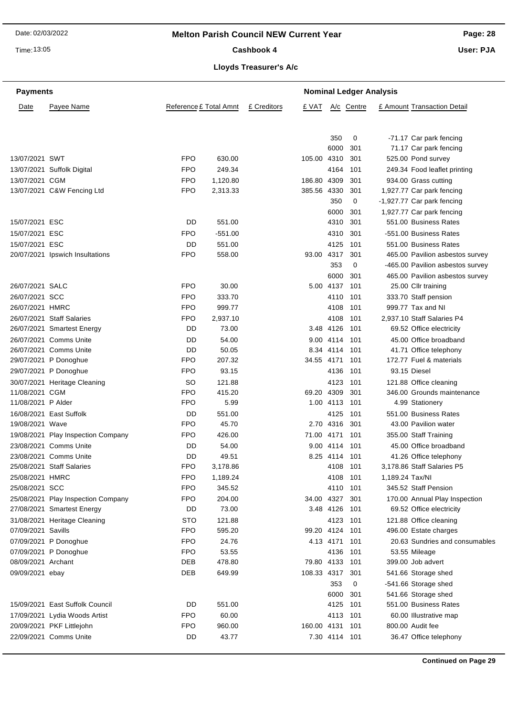Time: 13:05

Cashbook 4

**Page: 28**

**User: PJA**

**Lloyds Treasurer's A/c**

| <b>Payments</b>    |                                    |                        | <b>Nominal Ledger Analysis</b> |             |                |               |            |                 |                                  |
|--------------------|------------------------------------|------------------------|--------------------------------|-------------|----------------|---------------|------------|-----------------|----------------------------------|
| Date               | Payee Name                         | Reference £ Total Amnt |                                | £ Creditors | £ VAT          |               | A/c Centre |                 | £ Amount Transaction Detail      |
|                    |                                    |                        |                                |             |                | 350           | 0          |                 | -71.17 Car park fencing          |
|                    |                                    |                        |                                |             |                | 6000          | 301        |                 | 71.17 Car park fencing           |
| 13/07/2021 SWT     |                                    | FPO                    | 630.00                         |             | 105.00 4310    |               | 301        |                 | 525.00 Pond survey               |
|                    | 13/07/2021 Suffolk Digital         | <b>FPO</b>             | 249.34                         |             |                | 4164          | 101        |                 | 249.34 Food leaflet printing     |
| 13/07/2021 CGM     |                                    | FPO                    | 1,120.80                       |             | 186.80 4309    |               | 301        |                 | 934.00 Grass cutting             |
|                    | 13/07/2021 C&W Fencing Ltd         | <b>FPO</b>             | 2,313.33                       |             | 385.56 4330    |               | 301        |                 | 1,927.77 Car park fencing        |
|                    |                                    |                        |                                |             |                | 350           | 0          |                 | -1,927.77 Car park fencing       |
|                    |                                    |                        |                                |             |                | 6000          | 301        |                 | 1,927.77 Car park fencing        |
| 15/07/2021 ESC     |                                    | DD                     | 551.00                         |             |                | 4310          | 301        |                 | 551.00 Business Rates            |
| 15/07/2021 ESC     |                                    | FPO                    | $-551.00$                      |             |                | 4310          | 301        |                 | -551.00 Business Rates           |
| 15/07/2021 ESC     |                                    | DD                     | 551.00                         |             |                | 4125          | 101        |                 | 551.00 Business Rates            |
|                    | 20/07/2021 Ipswich Insultations    | <b>FPO</b>             | 558.00                         |             | 93.00 4317     |               | 301        |                 | 465.00 Pavilion asbestos survey  |
|                    |                                    |                        |                                |             |                | 353           | 0          |                 | -465.00 Pavilion asbestos survey |
|                    |                                    |                        |                                |             |                | 6000          | 301        |                 | 465.00 Pavilion asbestos survey  |
| 26/07/2021 SALC    |                                    | FPO                    | 30.00                          |             |                | 5.00 4137     | 101        |                 | 25.00 Cllr training              |
| 26/07/2021 SCC     |                                    | FPO                    | 333.70                         |             |                | 4110          | 101        |                 | 333.70 Staff pension             |
| 26/07/2021 HMRC    |                                    | FPO                    | 999.77                         |             |                | 4108          | 101        |                 | 999.77 Tax and NI                |
|                    | 26/07/2021 Staff Salaries          | FPO                    | 2,937.10                       |             |                | 4108          | 101        |                 | 2,937.10 Staff Salaries P4       |
|                    | 26/07/2021 Smartest Energy         | DD                     | 73.00                          |             |                | 3.48 4126     | 101        |                 | 69.52 Office electricity         |
|                    | 26/07/2021 Comms Unite             | DD                     | 54.00                          |             |                | 9.00 4114     | 101        |                 | 45.00 Office broadband           |
|                    | 26/07/2021 Comms Unite             | DD                     | 50.05                          |             |                | 8.34 4114     | 101        |                 | 41.71 Office telephony           |
|                    | 29/07/2021 P Donoghue              | FPO                    | 207.32                         |             | 34.55 4171     |               | 101        |                 | 172.77 Fuel & materials          |
|                    | 29/07/2021 P Donoghue              | FPO                    | 93.15                          |             |                | 4136          | 101        |                 | 93.15 Diesel                     |
|                    | 30/07/2021 Heritage Cleaning       | <b>SO</b>              | 121.88                         |             |                | 4123          | 101        |                 | 121.88 Office cleaning           |
| 11/08/2021 CGM     |                                    | FPO                    | 415.20                         |             | 69.20 4309     |               | 301        |                 | 346.00 Grounds maintenance       |
| 11/08/2021 P Alder |                                    | FPO                    | 5.99                           |             |                | 1.00 4113 101 |            |                 | 4.99 Stationery                  |
|                    | 16/08/2021 East Suffolk            | DD                     | 551.00                         |             |                | 4125          | 101        |                 | 551.00 Business Rates            |
| 19/08/2021 Wave    |                                    | FPO                    | 45.70                          |             |                | 2.70 4316     | 301        |                 | 43.00 Pavilion water             |
|                    | 19/08/2021 Play Inspection Company | FPO                    | 426.00                         |             | 71.00 4171     |               | 101        |                 | 355.00 Staff Training            |
|                    | 23/08/2021 Comms Unite             | DD                     | 54.00                          |             |                | 9.00 4114     | 101        |                 | 45.00 Office broadband           |
|                    | 23/08/2021 Comms Unite             | DD                     | 49.51                          |             |                | 8.25 4114 101 |            |                 | 41.26 Office telephony           |
|                    | 25/08/2021 Staff Salaries          | <b>FPO</b>             | 3,178.86                       |             |                | 4108 101      |            |                 | 3,178.86 Staff Salaries P5       |
| 25/08/2021 HMRC    |                                    | FPO                    | 1,189.24                       |             |                | 4108 101      |            | 1,189.24 Tax/NI |                                  |
| 25/08/2021 SCC     |                                    | FPO                    | 345.52                         |             |                | 4110 101      |            |                 | 345.52 Staff Pension             |
|                    | 25/08/2021 Play Inspection Company | FPO                    | 204.00                         |             | 34.00 4327     |               | 301        |                 | 170.00 Annual Play Inspection    |
|                    | 27/08/2021 Smartest Energy         | DD                     | 73.00                          |             |                | 3.48 4126 101 |            |                 | 69.52 Office electricity         |
|                    | 31/08/2021 Heritage Cleaning       | <b>STO</b>             | 121.88                         |             |                | 4123 101      |            |                 | 121.88 Office cleaning           |
| 07/09/2021 Savills |                                    | <b>FPO</b>             | 595.20                         |             | 99.20 4124 101 |               |            |                 | 496.00 Estate charges            |
|                    | 07/09/2021 P Donoghue              | FPO                    | 24.76                          |             |                | 4.13 4171     | 101        |                 | 20.63 Sundries and consumables   |
|                    | 07/09/2021 P Donoghue              | FPO                    | 53.55                          |             |                | 4136 101      |            |                 | 53.55 Mileage                    |
| 08/09/2021 Archant |                                    | DEB                    | 478.80                         |             | 79.80 4133 101 |               |            |                 | 399.00 Job advert                |
| 09/09/2021 ebay    |                                    | <b>DEB</b>             | 649.99                         |             | 108.33 4317    |               | 301        |                 | 541.66 Storage shed              |
|                    |                                    |                        |                                |             |                | 353           | 0          |                 | -541.66 Storage shed             |
|                    |                                    |                        |                                |             |                | 6000          | 301        |                 | 541.66 Storage shed              |
|                    | 15/09/2021 East Suffolk Council    | DD                     | 551.00                         |             |                | 4125          | 101        |                 | 551.00 Business Rates            |
|                    | 17/09/2021 Lydia Woods Artist      | FPO                    | 60.00                          |             |                | 4113          | 101        |                 | 60.00 Illustrative map           |
|                    | 20/09/2021 PKF Littlejohn          | FPO                    | 960.00                         |             | 160.00 4131    |               | 101        |                 | 800.00 Audit fee                 |
|                    | 22/09/2021 Comms Unite             | DD                     | 43.77                          |             |                | 7.30 4114 101 |            |                 | 36.47 Office telephony           |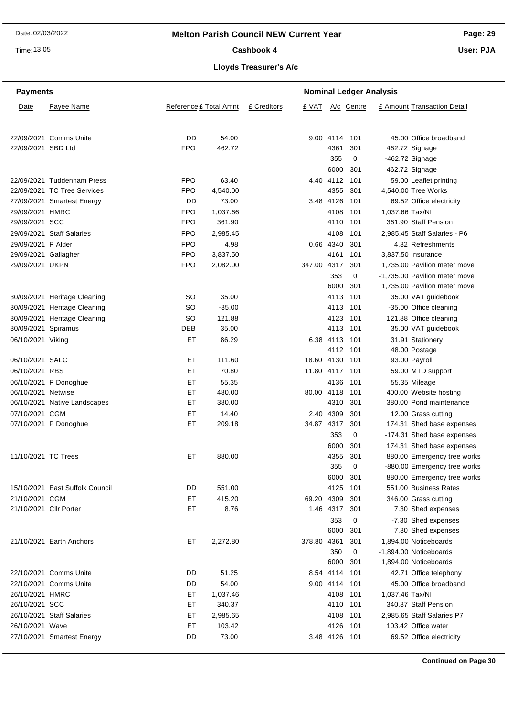Time: 13:05

# Cashbook 4

**Page: 29**

**User: PJA**

# **Lloyds Treasurer's A/c**

| <b>Payments</b><br><b>Nominal Ledger Analysis</b> |                                                           |                          |                   |             |             |                   |            |                 |                                               |
|---------------------------------------------------|-----------------------------------------------------------|--------------------------|-------------------|-------------|-------------|-------------------|------------|-----------------|-----------------------------------------------|
| Date                                              | Payee Name                                                | Reference £ Total Amnt   |                   | £ Creditors | £ VAT       |                   | A/c Centre |                 | £ Amount Transaction Detail                   |
|                                                   |                                                           |                          |                   |             |             |                   |            |                 |                                               |
| 22/09/2021 SBD Ltd                                | 22/09/2021 Comms Unite                                    | DD<br><b>FPO</b>         | 54.00<br>462.72   |             |             | 9.00 4114<br>4361 | 101<br>301 |                 | 45.00 Office broadband<br>462.72 Signage      |
|                                                   |                                                           |                          |                   |             |             | 355               | 0          |                 | -462.72 Signage                               |
|                                                   |                                                           |                          |                   |             |             | 6000              | 301        |                 | 462.72 Signage                                |
|                                                   |                                                           |                          |                   |             |             | 4112              |            |                 |                                               |
|                                                   | 22/09/2021 Tuddenham Press<br>22/09/2021 TC Tree Services | <b>FPO</b><br><b>FPO</b> | 63.40<br>4,540.00 |             | 4.40        | 4355              | 101<br>301 |                 | 59.00 Leaflet printing<br>4,540.00 Tree Works |
|                                                   | 27/09/2021 Smartest Energy                                | DD                       | 73.00             |             |             | 3.48 4126         | 101        |                 | 69.52 Office electricity                      |
|                                                   |                                                           |                          |                   |             |             |                   |            |                 |                                               |
| 29/09/2021 HMRC                                   |                                                           | <b>FPO</b>               | 1,037.66          |             |             | 4108              | 101        | 1,037.66 Tax/NI |                                               |
| 29/09/2021 SCC                                    |                                                           | <b>FPO</b>               | 361.90            |             |             | 4110              | 101        |                 | 361.90 Staff Pension                          |
|                                                   | 29/09/2021 Staff Salaries                                 | <b>FPO</b>               | 2,985.45          |             |             | 4108              | 101        |                 | 2,985.45 Staff Salaries - P6                  |
| 29/09/2021 P Alder                                |                                                           | <b>FPO</b>               | 4.98              |             |             | 0.66 4340         | 301        |                 | 4.32 Refreshments                             |
| 29/09/2021 Gallagher                              |                                                           | <b>FPO</b>               | 3,837.50          |             |             | 4161              | 101        |                 | 3.837.50 Insurance                            |
| 29/09/2021 UKPN                                   |                                                           | <b>FPO</b>               | 2,082.00          |             | 347.00 4317 |                   | 301        |                 | 1,735.00 Pavilion meter move                  |
|                                                   |                                                           |                          |                   |             |             | 353               | 0          |                 | -1,735.00 Pavilion meter move                 |
|                                                   |                                                           |                          |                   |             |             | 6000              | 301        |                 | 1,735.00 Pavilion meter move                  |
|                                                   | 30/09/2021 Heritage Cleaning                              | SO                       | 35.00             |             |             | 4113              | 101        |                 | 35.00 VAT guidebook                           |
|                                                   | 30/09/2021 Heritage Cleaning                              | SO                       | $-35.00$          |             |             | 4113              | 101        |                 | -35.00 Office cleaning                        |
|                                                   | 30/09/2021 Heritage Cleaning                              | SO                       | 121.88            |             |             | 4123              | 101        |                 | 121.88 Office cleaning                        |
| 30/09/2021 Spiramus                               |                                                           | DEB                      | 35.00             |             |             | 4113              | 101        |                 | 35.00 VAT guidebook                           |
| 06/10/2021 Viking                                 |                                                           | EТ                       | 86.29             |             |             | 6.38 4113         | 101        |                 | 31.91 Stationery                              |
|                                                   |                                                           |                          |                   |             |             | 4112              | 101        |                 | 48.00 Postage                                 |
| 06/10/2021 SALC                                   |                                                           | EТ                       | 111.60            |             | 18.60 4130  |                   | 101        |                 | 93.00 Payroll                                 |
| 06/10/2021 RBS                                    |                                                           | EТ                       | 70.80             |             | 11.80 4117  |                   | 101        |                 | 59.00 MTD support                             |
|                                                   | 06/10/2021 P Donoghue                                     | EТ                       | 55.35             |             |             | 4136              | 101        |                 | 55.35 Mileage                                 |
| 06/10/2021 Netwise                                |                                                           | EТ                       | 480.00            |             | 80.00 4118  |                   | 101        |                 | 400.00 Website hosting                        |
|                                                   | 06/10/2021 Native Landscapes                              | ЕT                       | 380.00            |             |             | 4310              | 301        |                 | 380.00 Pond maintenance                       |
| 07/10/2021 CGM                                    |                                                           | EТ                       | 14.40             |             |             | 2.40 4309         | 301        |                 | 12.00 Grass cutting                           |
|                                                   | 07/10/2021 P Donoghue                                     | EТ                       | 209.18            |             | 34.87 4317  |                   | 301        |                 | 174.31 Shed base expenses                     |
|                                                   |                                                           |                          |                   |             |             | 353               | 0          |                 | -174.31 Shed base expenses                    |
|                                                   |                                                           |                          |                   |             |             | 6000              | 301        |                 | 174.31 Shed base expenses                     |
| 11/10/2021 TC Trees                               |                                                           | EТ                       | 880.00            |             |             | 4355              | 301        |                 | 880.00 Emergency tree works                   |
|                                                   |                                                           |                          |                   |             |             | 355               | 0          |                 | -880.00 Emergency tree works                  |
|                                                   |                                                           |                          |                   |             |             | 6000              | 301        |                 | 880.00 Emergency tree works                   |
|                                                   | 15/10/2021 East Suffolk Council                           | DD                       | 551.00            |             |             | 4125              | 101        |                 | 551.00 Business Rates                         |
| 21/10/2021 CGM                                    |                                                           | EТ                       | 415.20            |             | 69.20 4309  |                   | 301        |                 | 346.00 Grass cutting                          |
| 21/10/2021 Cllr Porter                            |                                                           | ET                       | 8.76              |             |             | 1.46 4317         | 301        |                 | 7.30 Shed expenses                            |
|                                                   |                                                           |                          |                   |             |             | 353               | 0          |                 | -7.30 Shed expenses                           |
|                                                   |                                                           |                          |                   |             |             | 6000              | 301        |                 | 7.30 Shed expenses                            |
|                                                   | 21/10/2021 Earth Anchors                                  | ET                       | 2,272.80          |             | 378.80 4361 |                   | 301        |                 | 1,894.00 Noticeboards                         |
|                                                   |                                                           |                          |                   |             |             | 350               | 0          |                 | -1,894.00 Noticeboards                        |
|                                                   |                                                           |                          |                   |             |             | 6000              | 301        |                 | 1,894.00 Noticeboards                         |
|                                                   | 22/10/2021 Comms Unite                                    | DD                       | 51.25             |             |             | 8.54 4114         | 101        |                 | 42.71 Office telephony                        |
|                                                   | 22/10/2021 Comms Unite                                    | DD                       | 54.00             |             |             | 9.00 4114         | 101        |                 | 45.00 Office broadband                        |
| 26/10/2021 HMRC                                   |                                                           | ЕT                       | 1,037.46          |             |             | 4108              | 101        | 1,037.46 Tax/NI |                                               |
| 26/10/2021 SCC                                    |                                                           | ET                       | 340.37            |             |             | 4110              | 101        |                 | 340.37 Staff Pension                          |
|                                                   | 26/10/2021 Staff Salaries                                 | ET                       | 2,985.65          |             |             | 4108              | 101        |                 | 2,985.65 Staff Salaries P7                    |
| 26/10/2021 Wave                                   |                                                           | ЕT                       | 103.42            |             |             | 4126              | 101        |                 | 103.42 Office water                           |
|                                                   | 27/10/2021 Smartest Energy                                | DD                       | 73.00             |             |             | 3.48 4126 101     |            |                 | 69.52 Office electricity                      |
|                                                   |                                                           |                          |                   |             |             |                   |            |                 |                                               |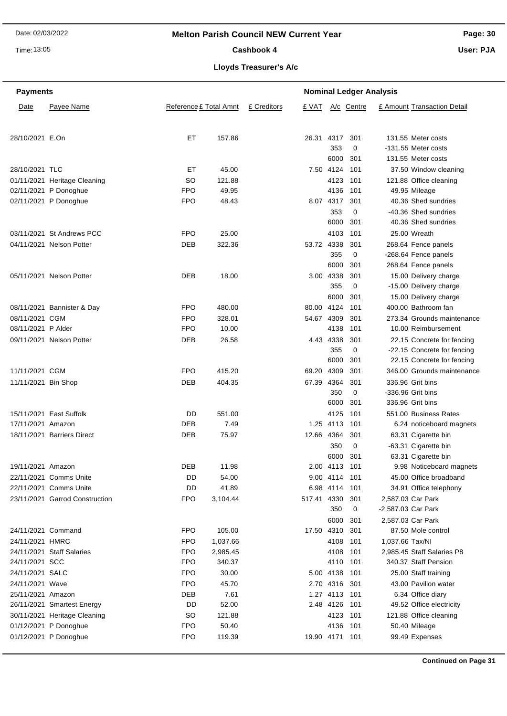Time: 13:05

# Cashbook 4

**Page: 30**

**User: PJA**

# **Lloyds Treasurer's A/c**

| Payee Name<br>Reference £ Total Amnt<br>£ Creditors<br>A/c Centre<br>£ Amount Transaction Detail<br>Date<br>£ VAT<br>28/10/2021 E.On<br>EТ<br>157.86<br>26.31 4317<br>131.55 Meter costs<br>301<br>353<br>0<br>-131.55 Meter costs<br>6000<br>301<br>131.55 Meter costs<br>28/10/2021 TLC<br>45.00<br>7.50 4124<br>101<br>37.50 Window cleaning<br>EТ<br><b>SO</b><br>121.88<br>4123 101<br>121.88 Office cleaning<br>01/11/2021 Heritage Cleaning<br>49.95<br>02/11/2021 P Donoghue<br><b>FPO</b><br>4136<br>49.95 Mileage<br>101<br>02/11/2021 P Donoghue<br><b>FPO</b><br>48.43<br>8.07 4317<br>40.36 Shed sundries<br>301<br>353<br>-40.36 Shed sundries<br>0<br>6000<br>301<br>40.36 Shed sundries<br>03/11/2021 St Andrews PCC<br><b>FPO</b><br>25.00<br>4103<br>101<br>25.00 Wreath<br>DEB<br>322.36<br>53.72 4338<br>301<br>04/11/2021 Nelson Potter<br>268.64 Fence panels<br>355<br>0<br>-268.64 Fence panels<br>6000<br>301<br>268.64 Fence panels<br>DEB<br>3.00 4338<br>301<br>05/11/2021 Nelson Potter<br>18.00<br>15.00 Delivery charge<br>355<br>0<br>-15.00 Delivery charge<br>6000<br>301<br>15.00 Delivery charge<br>08/11/2021 Bannister & Day<br><b>FPO</b><br>480.00<br>80.00 4124<br>101<br>400.00 Bathroom fan<br>08/11/2021 CGM<br><b>FPO</b><br>328.01<br>54.67 4309<br>301<br>273.34 Grounds maintenance<br>08/11/2021 P Alder<br><b>FPO</b><br>10.00<br>4138<br>101<br>10.00 Reimbursement<br>DEB<br>09/11/2021 Nelson Potter<br>26.58<br>4.43 4338<br>301<br>22.15 Concrete for fencing<br>355<br>0<br>-22.15 Concrete for fencing<br>6000<br>301<br>22.15 Concrete for fencing<br>11/11/2021 CGM<br><b>FPO</b><br>415.20<br>69.20<br>4309<br>301<br>346.00 Grounds maintenance<br>67.39 4364<br>11/11/2021 Bin Shop<br>DEB<br>404.35<br>301<br>336.96 Grit bins<br>350<br>0<br>-336.96 Grit bins<br>6000<br>301<br>336.96 Grit bins<br>4125<br>15/11/2021 East Suffolk<br>DD<br>551.00<br>101<br>551.00 Business Rates<br>1.25 4113<br>17/11/2021 Amazon<br>DEB<br>7.49<br>101<br>6.24 noticeboard magnets<br>18/11/2021 Barriers Direct<br>DEB<br>75.97<br>12.66 4364<br>301<br>63.31 Cigarette bin<br>350<br>0<br>-63.31 Cigarette bin<br>6000<br>301<br>63.31 Cigarette bin<br><b>DEB</b><br>11.98<br>19/11/2021 Amazon<br>2.00 4113 101<br>9.98 Noticeboard magnets<br>22/11/2021 Comms Unite<br>DD<br>54.00<br>9.00 4114 101<br>45.00 Office broadband<br>22/11/2021 Comms Unite<br>DD<br>41.89<br>6.98 4114 101<br>34.91 Office telephony<br>23/11/2021 Garrod Construction<br><b>FPO</b><br>3,104.44<br>517.41 4330 301<br>2,587.03 Car Park<br>350<br>0<br>-2,587.03 Car Park<br>6000 301<br>2,587.03 Car Park<br>24/11/2021 Command<br><b>FPO</b><br>105.00<br>17.50 4310 301<br>87.50 Mole control<br>24/11/2021 HMRC<br><b>FPO</b><br>1,037.66<br>4108 101<br>1,037.66 Tax/NI<br>24/11/2021 Staff Salaries<br><b>FPO</b><br>4108 101<br>2,985.45<br>2,985.45 Staff Salaries P8<br>24/11/2021 SCC<br><b>FPO</b><br>4110 101<br>340.37 Staff Pension<br>340.37<br>24/11/2021 SALC<br><b>FPO</b><br>30.00<br>5.00 4138 101<br>25.00 Staff training<br>45.70<br>24/11/2021 Wave<br><b>FPO</b><br>2.70 4316 301<br>43.00 Pavilion water<br>25/11/2021 Amazon<br>DEB<br>7.61<br>1.27 4113 101<br>6.34 Office diary<br>26/11/2021 Smartest Energy<br>DD<br>52.00<br>2.48 4126 101<br>49.52 Office electricity<br>30/11/2021 Heritage Cleaning<br><b>SO</b><br>121.88<br>4123 101<br>121.88 Office cleaning<br><b>FPO</b><br>50.40<br>50.40 Mileage<br>01/12/2021 P Donoghue<br>4136 101<br>01/12/2021 P Donoghue<br><b>FPO</b><br>119.39<br>19.90 4171 101<br>99.49 Expenses | <b>Nominal Ledger Analysis</b><br><b>Payments</b> |  |  |  |  |  |  |
|----------------------------------------------------------------------------------------------------------------------------------------------------------------------------------------------------------------------------------------------------------------------------------------------------------------------------------------------------------------------------------------------------------------------------------------------------------------------------------------------------------------------------------------------------------------------------------------------------------------------------------------------------------------------------------------------------------------------------------------------------------------------------------------------------------------------------------------------------------------------------------------------------------------------------------------------------------------------------------------------------------------------------------------------------------------------------------------------------------------------------------------------------------------------------------------------------------------------------------------------------------------------------------------------------------------------------------------------------------------------------------------------------------------------------------------------------------------------------------------------------------------------------------------------------------------------------------------------------------------------------------------------------------------------------------------------------------------------------------------------------------------------------------------------------------------------------------------------------------------------------------------------------------------------------------------------------------------------------------------------------------------------------------------------------------------------------------------------------------------------------------------------------------------------------------------------------------------------------------------------------------------------------------------------------------------------------------------------------------------------------------------------------------------------------------------------------------------------------------------------------------------------------------------------------------------------------------------------------------------------------------------------------------------------------------------------------------------------------------------------------------------------------------------------------------------------------------------------------------------------------------------------------------------------------------------------------------------------------------------------------------------------------------------------------------------------------------------------------------------------------------------------------------------------------------------------------------------------------------------------------------------------------------------------------------------------------------------------------------------------------------------------------------------------------------------------------------------------------------------------------------------------------------------------------------------------------------------------------------------|---------------------------------------------------|--|--|--|--|--|--|
|                                                                                                                                                                                                                                                                                                                                                                                                                                                                                                                                                                                                                                                                                                                                                                                                                                                                                                                                                                                                                                                                                                                                                                                                                                                                                                                                                                                                                                                                                                                                                                                                                                                                                                                                                                                                                                                                                                                                                                                                                                                                                                                                                                                                                                                                                                                                                                                                                                                                                                                                                                                                                                                                                                                                                                                                                                                                                                                                                                                                                                                                                                                                                                                                                                                                                                                                                                                                                                                                                                                                                                                                                |                                                   |  |  |  |  |  |  |
|                                                                                                                                                                                                                                                                                                                                                                                                                                                                                                                                                                                                                                                                                                                                                                                                                                                                                                                                                                                                                                                                                                                                                                                                                                                                                                                                                                                                                                                                                                                                                                                                                                                                                                                                                                                                                                                                                                                                                                                                                                                                                                                                                                                                                                                                                                                                                                                                                                                                                                                                                                                                                                                                                                                                                                                                                                                                                                                                                                                                                                                                                                                                                                                                                                                                                                                                                                                                                                                                                                                                                                                                                |                                                   |  |  |  |  |  |  |
|                                                                                                                                                                                                                                                                                                                                                                                                                                                                                                                                                                                                                                                                                                                                                                                                                                                                                                                                                                                                                                                                                                                                                                                                                                                                                                                                                                                                                                                                                                                                                                                                                                                                                                                                                                                                                                                                                                                                                                                                                                                                                                                                                                                                                                                                                                                                                                                                                                                                                                                                                                                                                                                                                                                                                                                                                                                                                                                                                                                                                                                                                                                                                                                                                                                                                                                                                                                                                                                                                                                                                                                                                |                                                   |  |  |  |  |  |  |
|                                                                                                                                                                                                                                                                                                                                                                                                                                                                                                                                                                                                                                                                                                                                                                                                                                                                                                                                                                                                                                                                                                                                                                                                                                                                                                                                                                                                                                                                                                                                                                                                                                                                                                                                                                                                                                                                                                                                                                                                                                                                                                                                                                                                                                                                                                                                                                                                                                                                                                                                                                                                                                                                                                                                                                                                                                                                                                                                                                                                                                                                                                                                                                                                                                                                                                                                                                                                                                                                                                                                                                                                                |                                                   |  |  |  |  |  |  |
|                                                                                                                                                                                                                                                                                                                                                                                                                                                                                                                                                                                                                                                                                                                                                                                                                                                                                                                                                                                                                                                                                                                                                                                                                                                                                                                                                                                                                                                                                                                                                                                                                                                                                                                                                                                                                                                                                                                                                                                                                                                                                                                                                                                                                                                                                                                                                                                                                                                                                                                                                                                                                                                                                                                                                                                                                                                                                                                                                                                                                                                                                                                                                                                                                                                                                                                                                                                                                                                                                                                                                                                                                |                                                   |  |  |  |  |  |  |
|                                                                                                                                                                                                                                                                                                                                                                                                                                                                                                                                                                                                                                                                                                                                                                                                                                                                                                                                                                                                                                                                                                                                                                                                                                                                                                                                                                                                                                                                                                                                                                                                                                                                                                                                                                                                                                                                                                                                                                                                                                                                                                                                                                                                                                                                                                                                                                                                                                                                                                                                                                                                                                                                                                                                                                                                                                                                                                                                                                                                                                                                                                                                                                                                                                                                                                                                                                                                                                                                                                                                                                                                                |                                                   |  |  |  |  |  |  |
|                                                                                                                                                                                                                                                                                                                                                                                                                                                                                                                                                                                                                                                                                                                                                                                                                                                                                                                                                                                                                                                                                                                                                                                                                                                                                                                                                                                                                                                                                                                                                                                                                                                                                                                                                                                                                                                                                                                                                                                                                                                                                                                                                                                                                                                                                                                                                                                                                                                                                                                                                                                                                                                                                                                                                                                                                                                                                                                                                                                                                                                                                                                                                                                                                                                                                                                                                                                                                                                                                                                                                                                                                |                                                   |  |  |  |  |  |  |
|                                                                                                                                                                                                                                                                                                                                                                                                                                                                                                                                                                                                                                                                                                                                                                                                                                                                                                                                                                                                                                                                                                                                                                                                                                                                                                                                                                                                                                                                                                                                                                                                                                                                                                                                                                                                                                                                                                                                                                                                                                                                                                                                                                                                                                                                                                                                                                                                                                                                                                                                                                                                                                                                                                                                                                                                                                                                                                                                                                                                                                                                                                                                                                                                                                                                                                                                                                                                                                                                                                                                                                                                                |                                                   |  |  |  |  |  |  |
|                                                                                                                                                                                                                                                                                                                                                                                                                                                                                                                                                                                                                                                                                                                                                                                                                                                                                                                                                                                                                                                                                                                                                                                                                                                                                                                                                                                                                                                                                                                                                                                                                                                                                                                                                                                                                                                                                                                                                                                                                                                                                                                                                                                                                                                                                                                                                                                                                                                                                                                                                                                                                                                                                                                                                                                                                                                                                                                                                                                                                                                                                                                                                                                                                                                                                                                                                                                                                                                                                                                                                                                                                |                                                   |  |  |  |  |  |  |
|                                                                                                                                                                                                                                                                                                                                                                                                                                                                                                                                                                                                                                                                                                                                                                                                                                                                                                                                                                                                                                                                                                                                                                                                                                                                                                                                                                                                                                                                                                                                                                                                                                                                                                                                                                                                                                                                                                                                                                                                                                                                                                                                                                                                                                                                                                                                                                                                                                                                                                                                                                                                                                                                                                                                                                                                                                                                                                                                                                                                                                                                                                                                                                                                                                                                                                                                                                                                                                                                                                                                                                                                                |                                                   |  |  |  |  |  |  |
|                                                                                                                                                                                                                                                                                                                                                                                                                                                                                                                                                                                                                                                                                                                                                                                                                                                                                                                                                                                                                                                                                                                                                                                                                                                                                                                                                                                                                                                                                                                                                                                                                                                                                                                                                                                                                                                                                                                                                                                                                                                                                                                                                                                                                                                                                                                                                                                                                                                                                                                                                                                                                                                                                                                                                                                                                                                                                                                                                                                                                                                                                                                                                                                                                                                                                                                                                                                                                                                                                                                                                                                                                |                                                   |  |  |  |  |  |  |
|                                                                                                                                                                                                                                                                                                                                                                                                                                                                                                                                                                                                                                                                                                                                                                                                                                                                                                                                                                                                                                                                                                                                                                                                                                                                                                                                                                                                                                                                                                                                                                                                                                                                                                                                                                                                                                                                                                                                                                                                                                                                                                                                                                                                                                                                                                                                                                                                                                                                                                                                                                                                                                                                                                                                                                                                                                                                                                                                                                                                                                                                                                                                                                                                                                                                                                                                                                                                                                                                                                                                                                                                                |                                                   |  |  |  |  |  |  |
|                                                                                                                                                                                                                                                                                                                                                                                                                                                                                                                                                                                                                                                                                                                                                                                                                                                                                                                                                                                                                                                                                                                                                                                                                                                                                                                                                                                                                                                                                                                                                                                                                                                                                                                                                                                                                                                                                                                                                                                                                                                                                                                                                                                                                                                                                                                                                                                                                                                                                                                                                                                                                                                                                                                                                                                                                                                                                                                                                                                                                                                                                                                                                                                                                                                                                                                                                                                                                                                                                                                                                                                                                |                                                   |  |  |  |  |  |  |
|                                                                                                                                                                                                                                                                                                                                                                                                                                                                                                                                                                                                                                                                                                                                                                                                                                                                                                                                                                                                                                                                                                                                                                                                                                                                                                                                                                                                                                                                                                                                                                                                                                                                                                                                                                                                                                                                                                                                                                                                                                                                                                                                                                                                                                                                                                                                                                                                                                                                                                                                                                                                                                                                                                                                                                                                                                                                                                                                                                                                                                                                                                                                                                                                                                                                                                                                                                                                                                                                                                                                                                                                                |                                                   |  |  |  |  |  |  |
|                                                                                                                                                                                                                                                                                                                                                                                                                                                                                                                                                                                                                                                                                                                                                                                                                                                                                                                                                                                                                                                                                                                                                                                                                                                                                                                                                                                                                                                                                                                                                                                                                                                                                                                                                                                                                                                                                                                                                                                                                                                                                                                                                                                                                                                                                                                                                                                                                                                                                                                                                                                                                                                                                                                                                                                                                                                                                                                                                                                                                                                                                                                                                                                                                                                                                                                                                                                                                                                                                                                                                                                                                |                                                   |  |  |  |  |  |  |
|                                                                                                                                                                                                                                                                                                                                                                                                                                                                                                                                                                                                                                                                                                                                                                                                                                                                                                                                                                                                                                                                                                                                                                                                                                                                                                                                                                                                                                                                                                                                                                                                                                                                                                                                                                                                                                                                                                                                                                                                                                                                                                                                                                                                                                                                                                                                                                                                                                                                                                                                                                                                                                                                                                                                                                                                                                                                                                                                                                                                                                                                                                                                                                                                                                                                                                                                                                                                                                                                                                                                                                                                                |                                                   |  |  |  |  |  |  |
|                                                                                                                                                                                                                                                                                                                                                                                                                                                                                                                                                                                                                                                                                                                                                                                                                                                                                                                                                                                                                                                                                                                                                                                                                                                                                                                                                                                                                                                                                                                                                                                                                                                                                                                                                                                                                                                                                                                                                                                                                                                                                                                                                                                                                                                                                                                                                                                                                                                                                                                                                                                                                                                                                                                                                                                                                                                                                                                                                                                                                                                                                                                                                                                                                                                                                                                                                                                                                                                                                                                                                                                                                |                                                   |  |  |  |  |  |  |
|                                                                                                                                                                                                                                                                                                                                                                                                                                                                                                                                                                                                                                                                                                                                                                                                                                                                                                                                                                                                                                                                                                                                                                                                                                                                                                                                                                                                                                                                                                                                                                                                                                                                                                                                                                                                                                                                                                                                                                                                                                                                                                                                                                                                                                                                                                                                                                                                                                                                                                                                                                                                                                                                                                                                                                                                                                                                                                                                                                                                                                                                                                                                                                                                                                                                                                                                                                                                                                                                                                                                                                                                                |                                                   |  |  |  |  |  |  |
|                                                                                                                                                                                                                                                                                                                                                                                                                                                                                                                                                                                                                                                                                                                                                                                                                                                                                                                                                                                                                                                                                                                                                                                                                                                                                                                                                                                                                                                                                                                                                                                                                                                                                                                                                                                                                                                                                                                                                                                                                                                                                                                                                                                                                                                                                                                                                                                                                                                                                                                                                                                                                                                                                                                                                                                                                                                                                                                                                                                                                                                                                                                                                                                                                                                                                                                                                                                                                                                                                                                                                                                                                |                                                   |  |  |  |  |  |  |
|                                                                                                                                                                                                                                                                                                                                                                                                                                                                                                                                                                                                                                                                                                                                                                                                                                                                                                                                                                                                                                                                                                                                                                                                                                                                                                                                                                                                                                                                                                                                                                                                                                                                                                                                                                                                                                                                                                                                                                                                                                                                                                                                                                                                                                                                                                                                                                                                                                                                                                                                                                                                                                                                                                                                                                                                                                                                                                                                                                                                                                                                                                                                                                                                                                                                                                                                                                                                                                                                                                                                                                                                                |                                                   |  |  |  |  |  |  |
|                                                                                                                                                                                                                                                                                                                                                                                                                                                                                                                                                                                                                                                                                                                                                                                                                                                                                                                                                                                                                                                                                                                                                                                                                                                                                                                                                                                                                                                                                                                                                                                                                                                                                                                                                                                                                                                                                                                                                                                                                                                                                                                                                                                                                                                                                                                                                                                                                                                                                                                                                                                                                                                                                                                                                                                                                                                                                                                                                                                                                                                                                                                                                                                                                                                                                                                                                                                                                                                                                                                                                                                                                |                                                   |  |  |  |  |  |  |
|                                                                                                                                                                                                                                                                                                                                                                                                                                                                                                                                                                                                                                                                                                                                                                                                                                                                                                                                                                                                                                                                                                                                                                                                                                                                                                                                                                                                                                                                                                                                                                                                                                                                                                                                                                                                                                                                                                                                                                                                                                                                                                                                                                                                                                                                                                                                                                                                                                                                                                                                                                                                                                                                                                                                                                                                                                                                                                                                                                                                                                                                                                                                                                                                                                                                                                                                                                                                                                                                                                                                                                                                                |                                                   |  |  |  |  |  |  |
|                                                                                                                                                                                                                                                                                                                                                                                                                                                                                                                                                                                                                                                                                                                                                                                                                                                                                                                                                                                                                                                                                                                                                                                                                                                                                                                                                                                                                                                                                                                                                                                                                                                                                                                                                                                                                                                                                                                                                                                                                                                                                                                                                                                                                                                                                                                                                                                                                                                                                                                                                                                                                                                                                                                                                                                                                                                                                                                                                                                                                                                                                                                                                                                                                                                                                                                                                                                                                                                                                                                                                                                                                |                                                   |  |  |  |  |  |  |
|                                                                                                                                                                                                                                                                                                                                                                                                                                                                                                                                                                                                                                                                                                                                                                                                                                                                                                                                                                                                                                                                                                                                                                                                                                                                                                                                                                                                                                                                                                                                                                                                                                                                                                                                                                                                                                                                                                                                                                                                                                                                                                                                                                                                                                                                                                                                                                                                                                                                                                                                                                                                                                                                                                                                                                                                                                                                                                                                                                                                                                                                                                                                                                                                                                                                                                                                                                                                                                                                                                                                                                                                                |                                                   |  |  |  |  |  |  |
|                                                                                                                                                                                                                                                                                                                                                                                                                                                                                                                                                                                                                                                                                                                                                                                                                                                                                                                                                                                                                                                                                                                                                                                                                                                                                                                                                                                                                                                                                                                                                                                                                                                                                                                                                                                                                                                                                                                                                                                                                                                                                                                                                                                                                                                                                                                                                                                                                                                                                                                                                                                                                                                                                                                                                                                                                                                                                                                                                                                                                                                                                                                                                                                                                                                                                                                                                                                                                                                                                                                                                                                                                |                                                   |  |  |  |  |  |  |
|                                                                                                                                                                                                                                                                                                                                                                                                                                                                                                                                                                                                                                                                                                                                                                                                                                                                                                                                                                                                                                                                                                                                                                                                                                                                                                                                                                                                                                                                                                                                                                                                                                                                                                                                                                                                                                                                                                                                                                                                                                                                                                                                                                                                                                                                                                                                                                                                                                                                                                                                                                                                                                                                                                                                                                                                                                                                                                                                                                                                                                                                                                                                                                                                                                                                                                                                                                                                                                                                                                                                                                                                                |                                                   |  |  |  |  |  |  |
|                                                                                                                                                                                                                                                                                                                                                                                                                                                                                                                                                                                                                                                                                                                                                                                                                                                                                                                                                                                                                                                                                                                                                                                                                                                                                                                                                                                                                                                                                                                                                                                                                                                                                                                                                                                                                                                                                                                                                                                                                                                                                                                                                                                                                                                                                                                                                                                                                                                                                                                                                                                                                                                                                                                                                                                                                                                                                                                                                                                                                                                                                                                                                                                                                                                                                                                                                                                                                                                                                                                                                                                                                |                                                   |  |  |  |  |  |  |
|                                                                                                                                                                                                                                                                                                                                                                                                                                                                                                                                                                                                                                                                                                                                                                                                                                                                                                                                                                                                                                                                                                                                                                                                                                                                                                                                                                                                                                                                                                                                                                                                                                                                                                                                                                                                                                                                                                                                                                                                                                                                                                                                                                                                                                                                                                                                                                                                                                                                                                                                                                                                                                                                                                                                                                                                                                                                                                                                                                                                                                                                                                                                                                                                                                                                                                                                                                                                                                                                                                                                                                                                                |                                                   |  |  |  |  |  |  |
|                                                                                                                                                                                                                                                                                                                                                                                                                                                                                                                                                                                                                                                                                                                                                                                                                                                                                                                                                                                                                                                                                                                                                                                                                                                                                                                                                                                                                                                                                                                                                                                                                                                                                                                                                                                                                                                                                                                                                                                                                                                                                                                                                                                                                                                                                                                                                                                                                                                                                                                                                                                                                                                                                                                                                                                                                                                                                                                                                                                                                                                                                                                                                                                                                                                                                                                                                                                                                                                                                                                                                                                                                |                                                   |  |  |  |  |  |  |
|                                                                                                                                                                                                                                                                                                                                                                                                                                                                                                                                                                                                                                                                                                                                                                                                                                                                                                                                                                                                                                                                                                                                                                                                                                                                                                                                                                                                                                                                                                                                                                                                                                                                                                                                                                                                                                                                                                                                                                                                                                                                                                                                                                                                                                                                                                                                                                                                                                                                                                                                                                                                                                                                                                                                                                                                                                                                                                                                                                                                                                                                                                                                                                                                                                                                                                                                                                                                                                                                                                                                                                                                                |                                                   |  |  |  |  |  |  |
|                                                                                                                                                                                                                                                                                                                                                                                                                                                                                                                                                                                                                                                                                                                                                                                                                                                                                                                                                                                                                                                                                                                                                                                                                                                                                                                                                                                                                                                                                                                                                                                                                                                                                                                                                                                                                                                                                                                                                                                                                                                                                                                                                                                                                                                                                                                                                                                                                                                                                                                                                                                                                                                                                                                                                                                                                                                                                                                                                                                                                                                                                                                                                                                                                                                                                                                                                                                                                                                                                                                                                                                                                |                                                   |  |  |  |  |  |  |
|                                                                                                                                                                                                                                                                                                                                                                                                                                                                                                                                                                                                                                                                                                                                                                                                                                                                                                                                                                                                                                                                                                                                                                                                                                                                                                                                                                                                                                                                                                                                                                                                                                                                                                                                                                                                                                                                                                                                                                                                                                                                                                                                                                                                                                                                                                                                                                                                                                                                                                                                                                                                                                                                                                                                                                                                                                                                                                                                                                                                                                                                                                                                                                                                                                                                                                                                                                                                                                                                                                                                                                                                                |                                                   |  |  |  |  |  |  |
|                                                                                                                                                                                                                                                                                                                                                                                                                                                                                                                                                                                                                                                                                                                                                                                                                                                                                                                                                                                                                                                                                                                                                                                                                                                                                                                                                                                                                                                                                                                                                                                                                                                                                                                                                                                                                                                                                                                                                                                                                                                                                                                                                                                                                                                                                                                                                                                                                                                                                                                                                                                                                                                                                                                                                                                                                                                                                                                                                                                                                                                                                                                                                                                                                                                                                                                                                                                                                                                                                                                                                                                                                |                                                   |  |  |  |  |  |  |
|                                                                                                                                                                                                                                                                                                                                                                                                                                                                                                                                                                                                                                                                                                                                                                                                                                                                                                                                                                                                                                                                                                                                                                                                                                                                                                                                                                                                                                                                                                                                                                                                                                                                                                                                                                                                                                                                                                                                                                                                                                                                                                                                                                                                                                                                                                                                                                                                                                                                                                                                                                                                                                                                                                                                                                                                                                                                                                                                                                                                                                                                                                                                                                                                                                                                                                                                                                                                                                                                                                                                                                                                                |                                                   |  |  |  |  |  |  |
|                                                                                                                                                                                                                                                                                                                                                                                                                                                                                                                                                                                                                                                                                                                                                                                                                                                                                                                                                                                                                                                                                                                                                                                                                                                                                                                                                                                                                                                                                                                                                                                                                                                                                                                                                                                                                                                                                                                                                                                                                                                                                                                                                                                                                                                                                                                                                                                                                                                                                                                                                                                                                                                                                                                                                                                                                                                                                                                                                                                                                                                                                                                                                                                                                                                                                                                                                                                                                                                                                                                                                                                                                |                                                   |  |  |  |  |  |  |
|                                                                                                                                                                                                                                                                                                                                                                                                                                                                                                                                                                                                                                                                                                                                                                                                                                                                                                                                                                                                                                                                                                                                                                                                                                                                                                                                                                                                                                                                                                                                                                                                                                                                                                                                                                                                                                                                                                                                                                                                                                                                                                                                                                                                                                                                                                                                                                                                                                                                                                                                                                                                                                                                                                                                                                                                                                                                                                                                                                                                                                                                                                                                                                                                                                                                                                                                                                                                                                                                                                                                                                                                                |                                                   |  |  |  |  |  |  |
|                                                                                                                                                                                                                                                                                                                                                                                                                                                                                                                                                                                                                                                                                                                                                                                                                                                                                                                                                                                                                                                                                                                                                                                                                                                                                                                                                                                                                                                                                                                                                                                                                                                                                                                                                                                                                                                                                                                                                                                                                                                                                                                                                                                                                                                                                                                                                                                                                                                                                                                                                                                                                                                                                                                                                                                                                                                                                                                                                                                                                                                                                                                                                                                                                                                                                                                                                                                                                                                                                                                                                                                                                |                                                   |  |  |  |  |  |  |
|                                                                                                                                                                                                                                                                                                                                                                                                                                                                                                                                                                                                                                                                                                                                                                                                                                                                                                                                                                                                                                                                                                                                                                                                                                                                                                                                                                                                                                                                                                                                                                                                                                                                                                                                                                                                                                                                                                                                                                                                                                                                                                                                                                                                                                                                                                                                                                                                                                                                                                                                                                                                                                                                                                                                                                                                                                                                                                                                                                                                                                                                                                                                                                                                                                                                                                                                                                                                                                                                                                                                                                                                                |                                                   |  |  |  |  |  |  |
|                                                                                                                                                                                                                                                                                                                                                                                                                                                                                                                                                                                                                                                                                                                                                                                                                                                                                                                                                                                                                                                                                                                                                                                                                                                                                                                                                                                                                                                                                                                                                                                                                                                                                                                                                                                                                                                                                                                                                                                                                                                                                                                                                                                                                                                                                                                                                                                                                                                                                                                                                                                                                                                                                                                                                                                                                                                                                                                                                                                                                                                                                                                                                                                                                                                                                                                                                                                                                                                                                                                                                                                                                |                                                   |  |  |  |  |  |  |
|                                                                                                                                                                                                                                                                                                                                                                                                                                                                                                                                                                                                                                                                                                                                                                                                                                                                                                                                                                                                                                                                                                                                                                                                                                                                                                                                                                                                                                                                                                                                                                                                                                                                                                                                                                                                                                                                                                                                                                                                                                                                                                                                                                                                                                                                                                                                                                                                                                                                                                                                                                                                                                                                                                                                                                                                                                                                                                                                                                                                                                                                                                                                                                                                                                                                                                                                                                                                                                                                                                                                                                                                                |                                                   |  |  |  |  |  |  |
|                                                                                                                                                                                                                                                                                                                                                                                                                                                                                                                                                                                                                                                                                                                                                                                                                                                                                                                                                                                                                                                                                                                                                                                                                                                                                                                                                                                                                                                                                                                                                                                                                                                                                                                                                                                                                                                                                                                                                                                                                                                                                                                                                                                                                                                                                                                                                                                                                                                                                                                                                                                                                                                                                                                                                                                                                                                                                                                                                                                                                                                                                                                                                                                                                                                                                                                                                                                                                                                                                                                                                                                                                |                                                   |  |  |  |  |  |  |
|                                                                                                                                                                                                                                                                                                                                                                                                                                                                                                                                                                                                                                                                                                                                                                                                                                                                                                                                                                                                                                                                                                                                                                                                                                                                                                                                                                                                                                                                                                                                                                                                                                                                                                                                                                                                                                                                                                                                                                                                                                                                                                                                                                                                                                                                                                                                                                                                                                                                                                                                                                                                                                                                                                                                                                                                                                                                                                                                                                                                                                                                                                                                                                                                                                                                                                                                                                                                                                                                                                                                                                                                                |                                                   |  |  |  |  |  |  |
|                                                                                                                                                                                                                                                                                                                                                                                                                                                                                                                                                                                                                                                                                                                                                                                                                                                                                                                                                                                                                                                                                                                                                                                                                                                                                                                                                                                                                                                                                                                                                                                                                                                                                                                                                                                                                                                                                                                                                                                                                                                                                                                                                                                                                                                                                                                                                                                                                                                                                                                                                                                                                                                                                                                                                                                                                                                                                                                                                                                                                                                                                                                                                                                                                                                                                                                                                                                                                                                                                                                                                                                                                |                                                   |  |  |  |  |  |  |
|                                                                                                                                                                                                                                                                                                                                                                                                                                                                                                                                                                                                                                                                                                                                                                                                                                                                                                                                                                                                                                                                                                                                                                                                                                                                                                                                                                                                                                                                                                                                                                                                                                                                                                                                                                                                                                                                                                                                                                                                                                                                                                                                                                                                                                                                                                                                                                                                                                                                                                                                                                                                                                                                                                                                                                                                                                                                                                                                                                                                                                                                                                                                                                                                                                                                                                                                                                                                                                                                                                                                                                                                                |                                                   |  |  |  |  |  |  |
|                                                                                                                                                                                                                                                                                                                                                                                                                                                                                                                                                                                                                                                                                                                                                                                                                                                                                                                                                                                                                                                                                                                                                                                                                                                                                                                                                                                                                                                                                                                                                                                                                                                                                                                                                                                                                                                                                                                                                                                                                                                                                                                                                                                                                                                                                                                                                                                                                                                                                                                                                                                                                                                                                                                                                                                                                                                                                                                                                                                                                                                                                                                                                                                                                                                                                                                                                                                                                                                                                                                                                                                                                |                                                   |  |  |  |  |  |  |
|                                                                                                                                                                                                                                                                                                                                                                                                                                                                                                                                                                                                                                                                                                                                                                                                                                                                                                                                                                                                                                                                                                                                                                                                                                                                                                                                                                                                                                                                                                                                                                                                                                                                                                                                                                                                                                                                                                                                                                                                                                                                                                                                                                                                                                                                                                                                                                                                                                                                                                                                                                                                                                                                                                                                                                                                                                                                                                                                                                                                                                                                                                                                                                                                                                                                                                                                                                                                                                                                                                                                                                                                                |                                                   |  |  |  |  |  |  |
|                                                                                                                                                                                                                                                                                                                                                                                                                                                                                                                                                                                                                                                                                                                                                                                                                                                                                                                                                                                                                                                                                                                                                                                                                                                                                                                                                                                                                                                                                                                                                                                                                                                                                                                                                                                                                                                                                                                                                                                                                                                                                                                                                                                                                                                                                                                                                                                                                                                                                                                                                                                                                                                                                                                                                                                                                                                                                                                                                                                                                                                                                                                                                                                                                                                                                                                                                                                                                                                                                                                                                                                                                |                                                   |  |  |  |  |  |  |
|                                                                                                                                                                                                                                                                                                                                                                                                                                                                                                                                                                                                                                                                                                                                                                                                                                                                                                                                                                                                                                                                                                                                                                                                                                                                                                                                                                                                                                                                                                                                                                                                                                                                                                                                                                                                                                                                                                                                                                                                                                                                                                                                                                                                                                                                                                                                                                                                                                                                                                                                                                                                                                                                                                                                                                                                                                                                                                                                                                                                                                                                                                                                                                                                                                                                                                                                                                                                                                                                                                                                                                                                                |                                                   |  |  |  |  |  |  |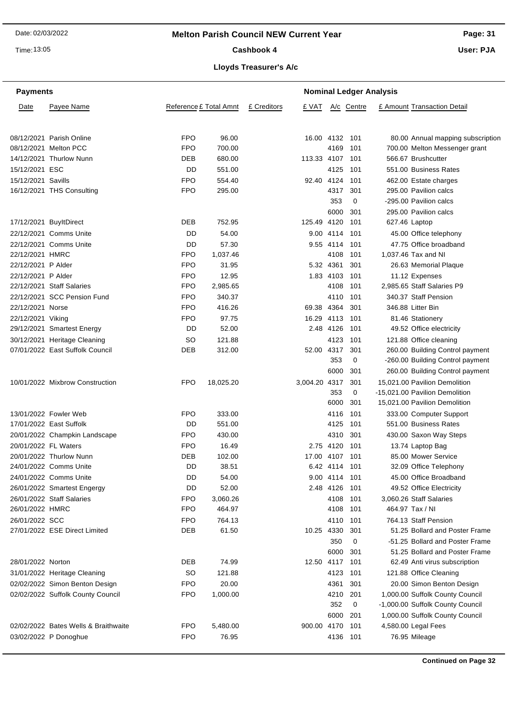Time: 13:05

#### Cashbook 4

**Page: 31**

**User: PJA**

# **Lloyds Treasurer's A/c**

| <b>Payments</b>    |                                      |            |                        | <b>Nominal Ledger Analysis</b> |                 |               |            |  |                                   |  |
|--------------------|--------------------------------------|------------|------------------------|--------------------------------|-----------------|---------------|------------|--|-----------------------------------|--|
| Date               | Payee Name                           |            | Reference £ Total Amnt | £ Creditors                    | £ VAT           |               | A/c Centre |  | £ Amount Transaction Detail       |  |
|                    | 08/12/2021 Parish Online             | <b>FPO</b> | 96.00                  |                                | 16.00 4132 101  |               |            |  | 80.00 Annual mapping subscription |  |
|                    | 08/12/2021 Melton PCC                | <b>FPO</b> | 700.00                 |                                |                 | 4169          | 101        |  | 700.00 Melton Messenger grant     |  |
|                    | 14/12/2021 Thurlow Nunn              | DEB        | 680.00                 |                                | 113.33 4107 101 |               |            |  | 566.67 Brushcutter                |  |
| 15/12/2021 ESC     |                                      | DD         | 551.00                 |                                |                 | 4125 101      |            |  | 551.00 Business Rates             |  |
| 15/12/2021 Savills |                                      | FPO        | 554.40                 |                                | 92.40 4124 101  |               |            |  | 462.00 Estate charges             |  |
|                    | 16/12/2021 THS Consulting            | FPO        | 295.00                 |                                |                 | 4317          | 301        |  | 295.00 Pavilion calcs             |  |
|                    |                                      |            |                        |                                |                 | 353           | 0          |  | -295.00 Pavilion calcs            |  |
|                    |                                      |            |                        |                                |                 | 6000          | 301        |  | 295.00 Pavilion calcs             |  |
|                    | 17/12/2021 BuyItDirect               | DEB        | 752.95                 |                                | 125.49 4120     |               | 101        |  | 627.46 Laptop                     |  |
|                    | 22/12/2021 Comms Unite               | DD         | 54.00                  |                                |                 | 9.00 4114 101 |            |  | 45.00 Office telephony            |  |
|                    | 22/12/2021 Comms Unite               | DD         | 57.30                  |                                |                 | 9.55 4114 101 |            |  | 47.75 Office broadband            |  |
| 22/12/2021 HMRC    |                                      | FPO        | 1,037.46               |                                |                 | 4108          | 101        |  | 1,037.46 Tax and NI               |  |
| 22/12/2021 P Alder |                                      | FPO        | 31.95                  |                                |                 | 5.32 4361     | 301        |  | 26.63 Memorial Plaque             |  |
| 22/12/2021 P Alder |                                      | <b>FPO</b> | 12.95                  |                                |                 | 1.83 4103     | 101        |  | 11.12 Expenses                    |  |
|                    | 22/12/2021 Staff Salaries            | <b>FPO</b> | 2,985.65               |                                |                 | 4108          | 101        |  | 2,985.65 Staff Salaries P9        |  |
|                    | 22/12/2021 SCC Pension Fund          | FPO        | 340.37                 |                                |                 | 4110          | 101        |  | 340.37 Staff Pension              |  |
| 22/12/2021 Norse   |                                      | FPO        | 416.26                 |                                | 69.38 4364      |               | 301        |  | 346.88 Litter Bin                 |  |
| 22/12/2021 Viking  |                                      | FPO        | 97.75                  |                                | 16.29 4113 101  |               |            |  | 81.46 Stationery                  |  |
|                    | 29/12/2021 Smartest Energy           | DD         | 52.00                  |                                |                 | 2.48 4126     | - 101      |  | 49.52 Office electricity          |  |
|                    | 30/12/2021 Heritage Cleaning         | <b>SO</b>  | 121.88                 |                                |                 | 4123          | 101        |  | 121.88 Office cleaning            |  |
|                    | 07/01/2022 East Suffolk Council      | <b>DEB</b> | 312.00                 |                                | 52.00           | 4317          | 301        |  | 260.00 Building Control payment   |  |
|                    |                                      |            |                        |                                |                 | 353           | 0          |  | -260.00 Building Control payment  |  |
|                    |                                      |            |                        |                                |                 | 6000          | 301        |  | 260.00 Building Control payment   |  |
|                    | 10/01/2022 Mixbrow Construction      | <b>FPO</b> | 18,025.20              |                                | 3,004.20 4317   |               | 301        |  | 15,021.00 Pavilion Demolition     |  |
|                    |                                      |            |                        |                                |                 | 353           | 0          |  | -15,021.00 Pavilion Demolition    |  |
|                    |                                      |            |                        |                                |                 | 6000          | 301        |  | 15,021.00 Pavilion Demolition     |  |
|                    | 13/01/2022 Fowler Web                | FPO        | 333.00                 |                                |                 | 4116          | 101        |  | 333.00 Computer Support           |  |
|                    | 17/01/2022 East Suffolk              | DD         | 551.00                 |                                |                 | 4125          | 101        |  | 551.00 Business Rates             |  |
|                    | 20/01/2022 Champkin Landscape        | FPO        | 430.00                 |                                |                 | 4310          | 301        |  | 430.00 Saxon Way Steps            |  |
|                    | 20/01/2022 FL Waters                 | FPO        | 16.49                  |                                |                 | 2.75 4120     | 101        |  | 13.74 Laptop Bag                  |  |
|                    | 20/01/2022 Thurlow Nunn              | <b>DEB</b> | 102.00                 |                                | 17.00 4107 101  |               |            |  | 85.00 Mower Service               |  |
|                    | 24/01/2022 Comms Unite               | DD         | 38.51                  |                                |                 | 6.42 4114 101 |            |  | 32.09 Office Telephony            |  |
|                    | 24/01/2022 Comms Unite               | DD         | 54.00                  |                                |                 | 9.00 4114 101 |            |  | 45.00 Office Broadband            |  |
|                    | 26/01/2022 Smartest Engergy          | DD         | 52.00                  |                                |                 | 2.48 4126 101 |            |  | 49.52 Office Electricity          |  |
|                    | 26/01/2022 Staff Salaries            | FPO        | 3,060.26               |                                |                 | 4108 101      |            |  | 3,060.26 Staff Salaries           |  |
| 26/01/2022 HMRC    |                                      | <b>FPO</b> | 464.97                 |                                |                 | 4108 101      |            |  | 464.97 Tax / NI                   |  |
| 26/01/2022 SCC     |                                      | FPO        | 764.13                 |                                |                 | 4110 101      |            |  | 764.13 Staff Pension              |  |
|                    | 27/01/2022 ESE Direct Limited        | DEB        | 61.50                  |                                | 10.25 4330      |               | 301        |  | 51.25 Bollard and Poster Frame    |  |
|                    |                                      |            |                        |                                |                 | 350           | 0          |  | -51.25 Bollard and Poster Frame   |  |
|                    |                                      |            |                        |                                |                 | 6000          | 301        |  | 51.25 Bollard and Poster Frame    |  |
| 28/01/2022 Norton  |                                      | DEB        | 74.99                  |                                | 12.50 4117 101  |               |            |  | 62.49 Anti virus subscription     |  |
|                    | 31/01/2022 Heritage Cleaning         | <b>SO</b>  | 121.88                 |                                |                 | 4123 101      |            |  | 121.88 Office Cleaning            |  |
|                    | 02/02/2022 Simon Benton Design       | FPO        | 20.00                  |                                |                 | 4361          | 301        |  | 20.00 Simon Benton Design         |  |
|                    | 02/02/2022 Suffolk County Council    | FPO        | 1,000.00               |                                |                 | 4210          | 201        |  | 1,000.00 Suffolk County Council   |  |
|                    |                                      |            |                        |                                |                 | 352           | 0          |  | -1,000.00 Suffolk County Council  |  |
|                    |                                      |            |                        |                                |                 | 6000          | 201        |  | 1,000.00 Suffolk County Council   |  |
|                    | 02/02/2022 Bates Wells & Braithwaite | <b>FPO</b> | 5,480.00               |                                | 900.00 4170     |               | 101        |  | 4,580.00 Legal Fees               |  |
|                    | 03/02/2022 P Donoghue                | FPO        | 76.95                  |                                |                 | 4136 101      |            |  | 76.95 Mileage                     |  |